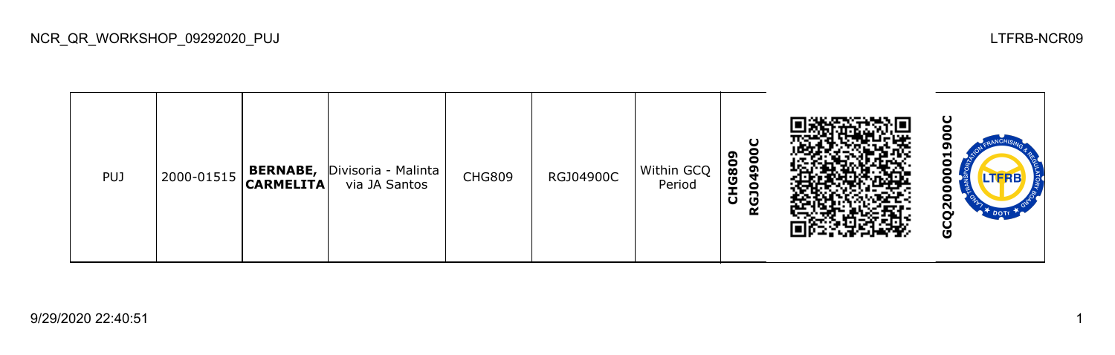| <b>PUJ</b> | 2000-01515 | <b>BERNABE,</b><br><b>CARMELITA</b> | Divisoria - Malinta  <br>via JA Santos | <b>CHG809</b> | RGJ04900C | Within GCQ<br>Period | ă<br>ຶ<br>G80<br>Ō,<br>ō<br>−<br>O<br>≃ |  | ပ<br>o<br>−<br>0<br>Ō<br>o<br>0<br>Ο<br>$\mathbf{S}^{\prime}$<br>DOTT <sup>1</sup><br>ပ<br>O |
|------------|------------|-------------------------------------|----------------------------------------|---------------|-----------|----------------------|-----------------------------------------|--|----------------------------------------------------------------------------------------------|
|------------|------------|-------------------------------------|----------------------------------------|---------------|-----------|----------------------|-----------------------------------------|--|----------------------------------------------------------------------------------------------|

NCR\_QR\_WORKSHOP\_09292020\_PUJ LTFRB-NCR09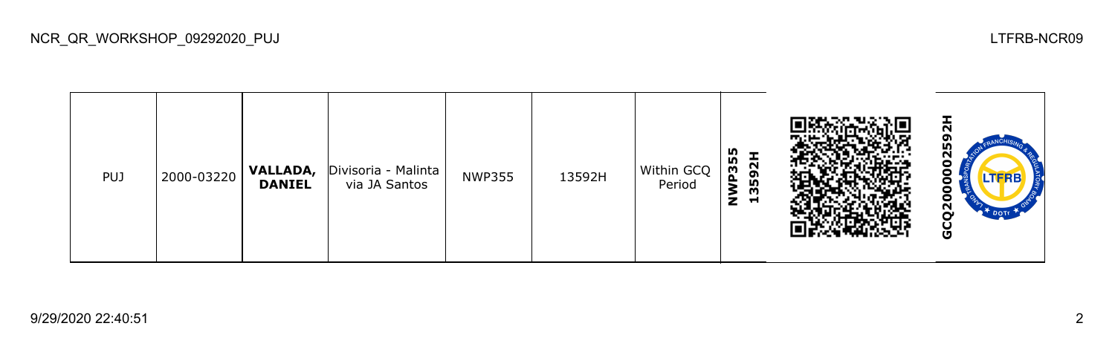| <b>PUJ</b> | 2000-03220 | VALLADA,<br><b>DANIEL</b> | Divisoria - Malinta<br>via JA Santos | <b>NWP355</b> | 13592H | Within GCQ<br>Period | NWP355<br>Ŧ<br>592<br>m<br>Н |  | 보<br>ຫ<br>m<br>N<br>o<br>.TERE<br>о<br>о<br>Ñ<br>DOTT<br>-<br>O |
|------------|------------|---------------------------|--------------------------------------|---------------|--------|----------------------|------------------------------|--|-----------------------------------------------------------------|
|------------|------------|---------------------------|--------------------------------------|---------------|--------|----------------------|------------------------------|--|-----------------------------------------------------------------|

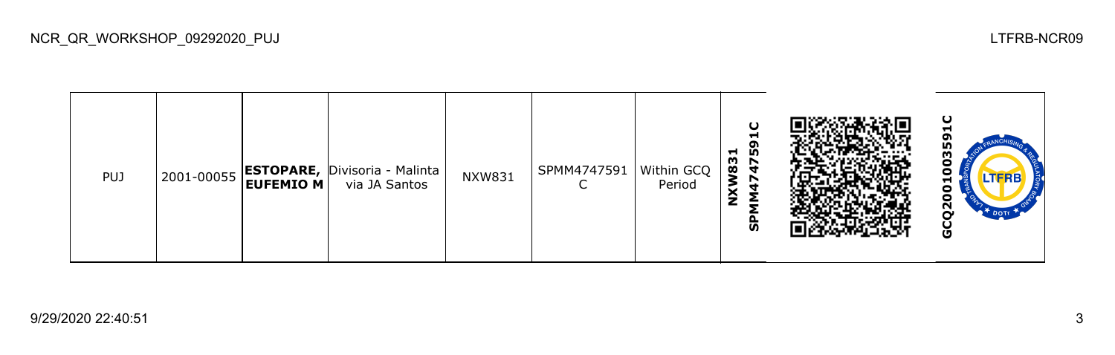| <b>PUJ</b> |  |  | $\left  2001\text{-}00055 \right $ <b>ESTOPARE,</b> Divisoria - Malinta $\left  \right $<br>via JA Santos | <b>NXW831</b> | SPMM4747591   Within GCQ | Period | $\mathbf C$<br>−<br>္မွဳ<br>1831<br>$\frac{4}{7}$<br>r<br>ັທ |  | ပ<br>m<br>m<br>Γ<br>N<br>o |
|------------|--|--|-----------------------------------------------------------------------------------------------------------|---------------|--------------------------|--------|--------------------------------------------------------------|--|----------------------------|
|------------|--|--|-----------------------------------------------------------------------------------------------------------|---------------|--------------------------|--------|--------------------------------------------------------------|--|----------------------------|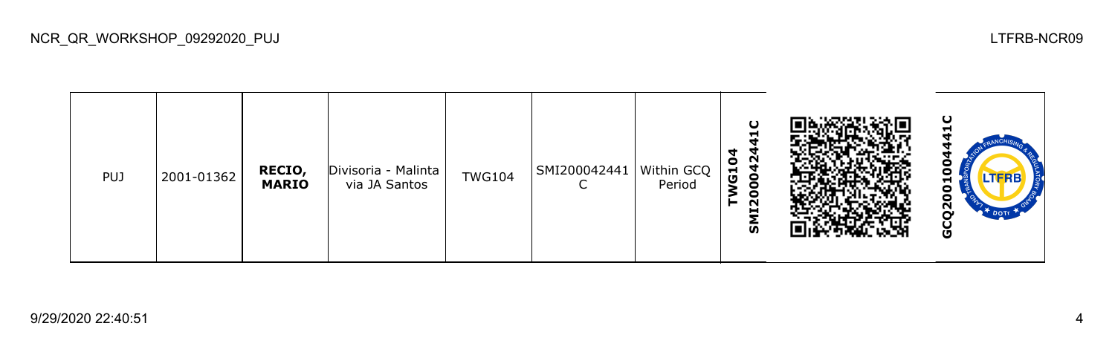| <b>PUJ</b> | 2001-01362 | RECIO,<br><b>MARIO</b> | Divisoria - Malinta<br>via JA Santos | <b>TWG104</b> | SMI200042441   Within GCQ | Period | O<br>┯<br>0042<br>G <sub>10</sub><br><b>II20</b><br>ົທ |  | ပ<br>П<br>$\mathbf{z}$<br>DOTE<br>Ū |
|------------|------------|------------------------|--------------------------------------|---------------|---------------------------|--------|--------------------------------------------------------|--|-------------------------------------|
|------------|------------|------------------------|--------------------------------------|---------------|---------------------------|--------|--------------------------------------------------------|--|-------------------------------------|

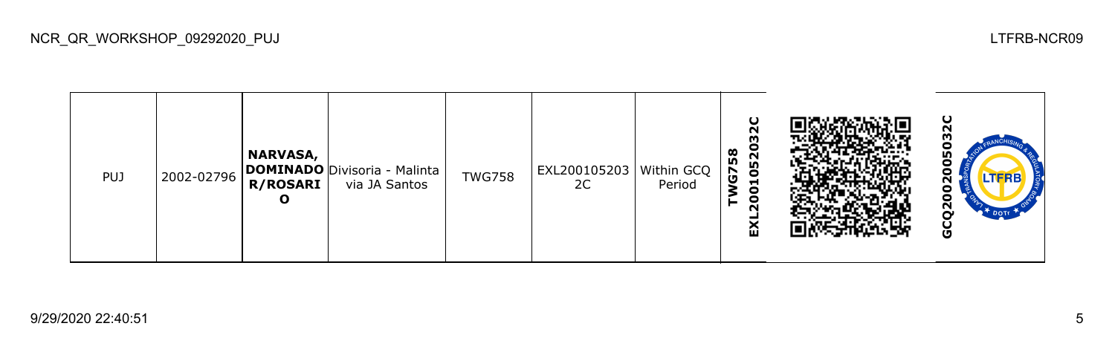| <b>PUJ</b> | 2002-02796 | <b>NARVASA,</b><br>R/ROSARI  <br>О | <b>DOMINADO</b> Divisoria - Malinta<br>via JA Santos | <b>TWG758</b> | EXL200105203 Within GCQ<br>2C | Period | ပ<br>N<br>m<br>c<br>œ<br>$\bar{\mathbf{N}}$<br><b>In</b><br>50<br>G<br>Н<br>0<br>0<br>N<br>⌒<br>ш |  | ပ<br>о<br><b>LTFRB</b><br>о<br>o<br>ี<br>$\mathbf{r}$ Dotr<br>ပ |
|------------|------------|------------------------------------|------------------------------------------------------|---------------|-------------------------------|--------|---------------------------------------------------------------------------------------------------|--|-----------------------------------------------------------------|
|------------|------------|------------------------------------|------------------------------------------------------|---------------|-------------------------------|--------|---------------------------------------------------------------------------------------------------|--|-----------------------------------------------------------------|

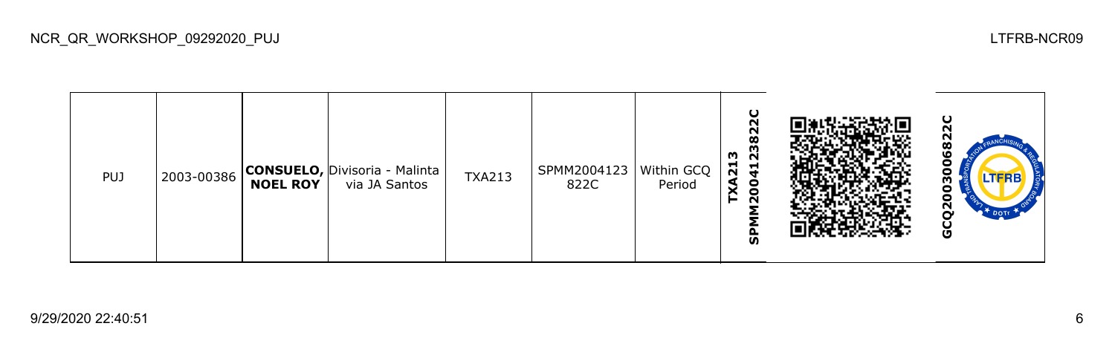| <b>PUJ</b> |  | <b>NOEL ROY</b> | 2003-00386 CONSUELO, Divisoria - Malinta  <br>via JA Santos | <b>TXA213</b> | SPMM2004123   Within GCQ  <br>822C | Period | ပ<br>N<br>82<br><u>ິ</u><br>ລ<br>m<br>$\vec{p}$<br>$\vec{r}$<br>8<br>$\sim$<br>ັທ |  | o<br>LTERB<br>о<br>ี่<br>O |
|------------|--|-----------------|-------------------------------------------------------------|---------------|------------------------------------|--------|-----------------------------------------------------------------------------------|--|----------------------------|
|------------|--|-----------------|-------------------------------------------------------------|---------------|------------------------------------|--------|-----------------------------------------------------------------------------------|--|----------------------------|

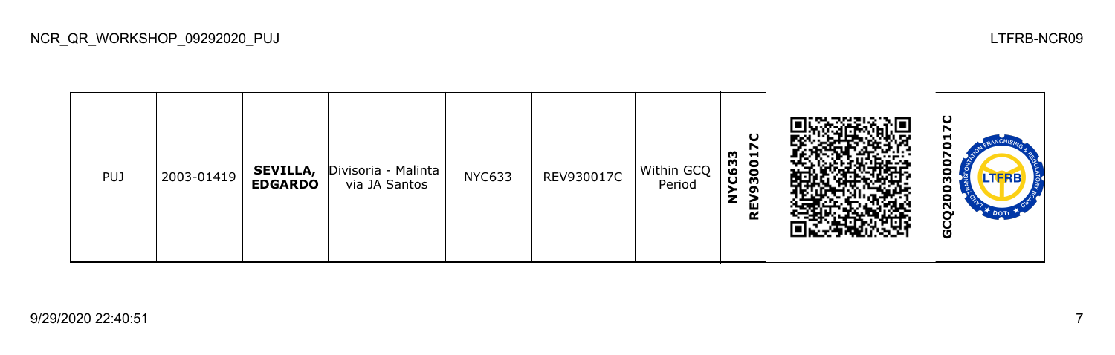| <b>PUJ</b> | 2003-01419 | <b>SEVILLA,</b><br><b>EDGARDO</b> | Divisoria - Malinta<br>via JA Santos | <b>NYC633</b> | REV930017C | Within GCQ<br>Period | u<br>r<br>C633<br>3001<br>o<br>z<br>ᇟ<br>$\bar{\mathbf{r}}$ |  | ပ<br>J<br>m<br>o<br>Ņ<br>DOT<br>o |
|------------|------------|-----------------------------------|--------------------------------------|---------------|------------|----------------------|-------------------------------------------------------------|--|-----------------------------------|
|------------|------------|-----------------------------------|--------------------------------------|---------------|------------|----------------------|-------------------------------------------------------------|--|-----------------------------------|

NCR\_QR\_WORKSHOP\_09292020\_PUJ LTFRB-NCR09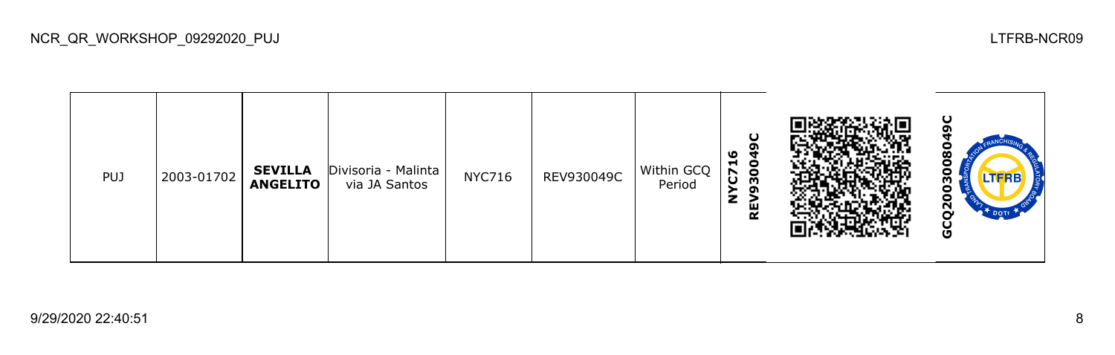| PUJ | 2003-01702 | <b>SEVILLA</b><br><b>ANGELITO</b> | Divisoria - Malinta<br>via JA Santos | <b>NYC716</b> | REV930049C | Within GCQ<br>Period | ৩<br>ч<br>H.<br>$\bullet$<br>$\bullet$<br>m<br>ပ<br>o<br>z<br>REV |  | Ο<br>w<br>N<br>o |
|-----|------------|-----------------------------------|--------------------------------------|---------------|------------|----------------------|-------------------------------------------------------------------|--|------------------|
|-----|------------|-----------------------------------|--------------------------------------|---------------|------------|----------------------|-------------------------------------------------------------------|--|------------------|

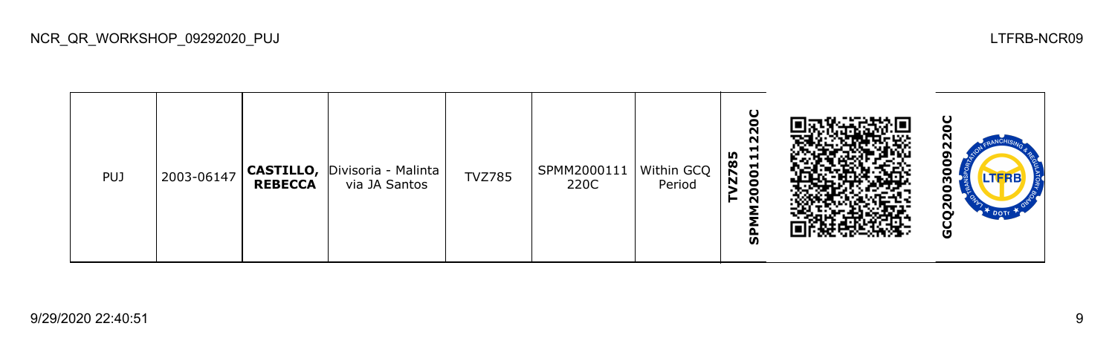| <b>PUJ</b> | 2003-06147 | <b>CASTILLO,</b><br><b>REBECCA</b> | Divisoria - Malinta<br>via JA Santos | <b>TVZ785</b> | SPMM2000111   Within GCQ  <br>220C | Period | ပ<br>Θ<br>N<br>N<br>−<br>n,<br>ᆋ<br>დ<br>001<br>$\overline{\bf{z}}$<br>o<br>$\sim$<br><b>Q</b><br>ທ |  | O<br>m<br>о<br>$\mathbf{S}$<br>DOTE<br>o |
|------------|------------|------------------------------------|--------------------------------------|---------------|------------------------------------|--------|-----------------------------------------------------------------------------------------------------|--|------------------------------------------|
|------------|------------|------------------------------------|--------------------------------------|---------------|------------------------------------|--------|-----------------------------------------------------------------------------------------------------|--|------------------------------------------|

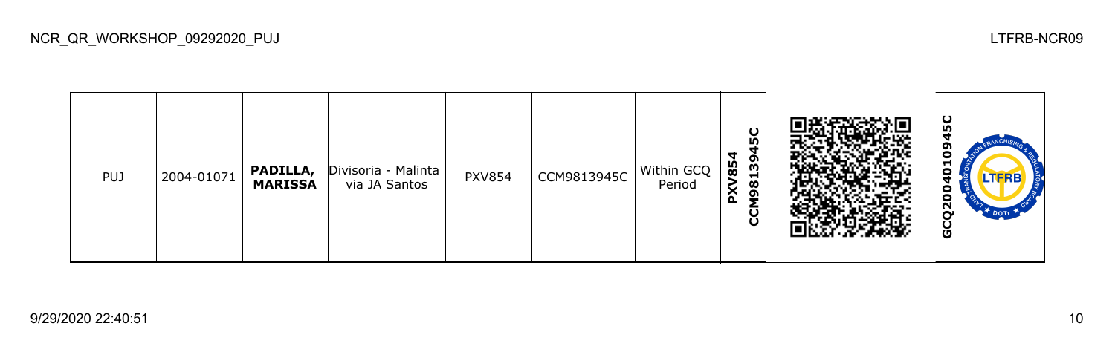**GCQ2004010945CPXV854** o CCM98139 PUJ 2004-01071 **PADILLA,**  Divisoria - Malinta visoria - Malinta | PXV854 | CCM9813945C | Within GCQ<br>via JA Santos | PXV854 | CCM9813945C | Period **MARISSA** Period 0 GCQ20

NCR\_QR\_WORKSHOP\_09292020\_PUJ LTFRB-NCR09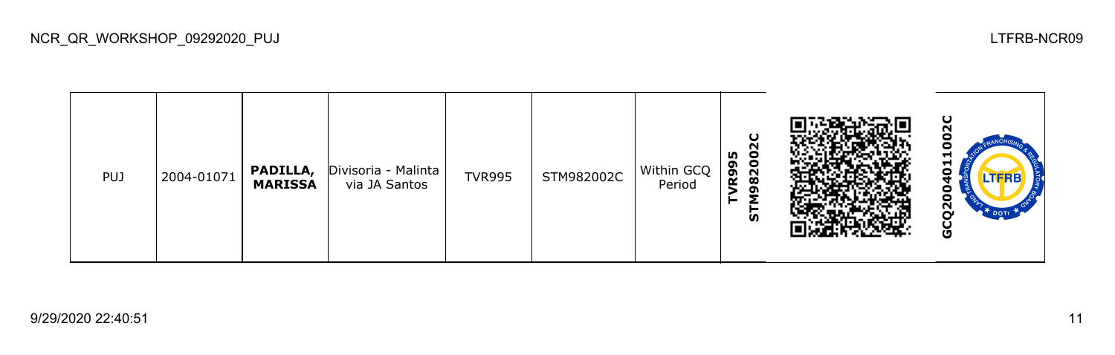| <b>PUJ</b> | 2004-01071 | PADILLA,<br><b>MARISSA</b> | Divisoria - Malinta<br>via JA Santos | <b>TVR995</b> | STM982002C | Within GCQ<br>Period | u<br>N<br>m<br>8200<br><b>R99</b><br>G<br><b>S</b> |  | ပ<br>J<br>−<br>H<br>Ο<br><b>LTFRB</b><br>о<br>ี<br>U |
|------------|------------|----------------------------|--------------------------------------|---------------|------------|----------------------|----------------------------------------------------|--|------------------------------------------------------|
|------------|------------|----------------------------|--------------------------------------|---------------|------------|----------------------|----------------------------------------------------|--|------------------------------------------------------|

NCR\_QR\_WORKSHOP\_09292020\_PUJ LTFRB-NCR09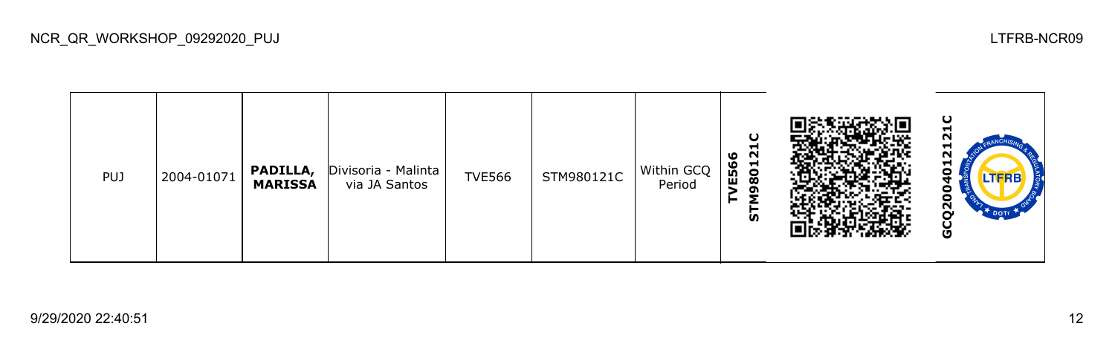| <b>PUJ</b> | 2004-01071 | PADILLA,<br><b>MARISSA</b> | Divisoria - Malinta<br>via JA Santos | <b>TVE566</b> | STM980121C | Within GCQ<br>Period | ပ<br>Н<br>N<br>ဖ<br>ق<br>801<br>$\mathbf{E}$<br>ິດ<br>Σ<br><b>in</b> |  | ပ<br>−<br>ี<br>−<br>N<br>−<br>J<br>LTERB<br>ō<br>o<br>$\mathbf{S}^{\prime}$<br><b>L<sup>T</sup> DOTI</b><br>ပ<br>O |
|------------|------------|----------------------------|--------------------------------------|---------------|------------|----------------------|----------------------------------------------------------------------|--|--------------------------------------------------------------------------------------------------------------------|
|------------|------------|----------------------------|--------------------------------------|---------------|------------|----------------------|----------------------------------------------------------------------|--|--------------------------------------------------------------------------------------------------------------------|

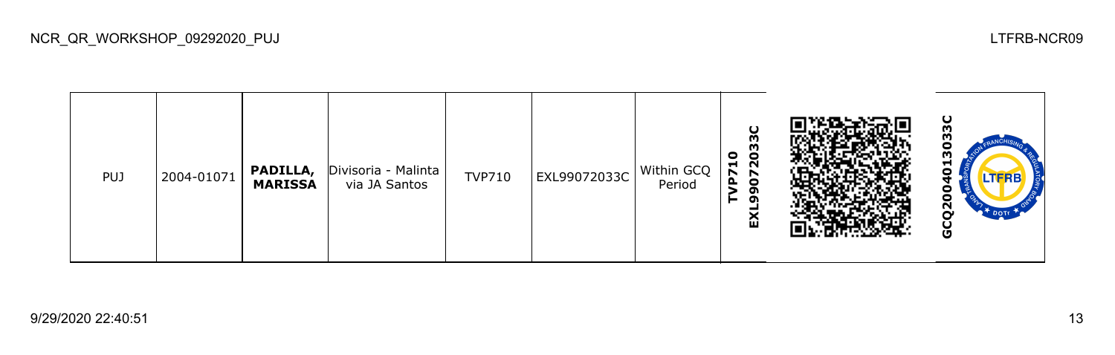| <b>PUJ</b> | 2004-01071 | PADILLA,<br><b>MARISSA</b> | Divisoria - Malinta  <br>via JA Santos | <b>TVP710</b> | EXL99072033C | Within GCQ<br>Period | U<br>M<br>710<br>7203<br>Δ.<br>$\bullet$<br>ີ<br>⊢<br>ິດ<br>ଢ |  | ပ<br>⊣<br>n<br>LTERB<br>ี<br>O |
|------------|------------|----------------------------|----------------------------------------|---------------|--------------|----------------------|---------------------------------------------------------------|--|--------------------------------|
|------------|------------|----------------------------|----------------------------------------|---------------|--------------|----------------------|---------------------------------------------------------------|--|--------------------------------|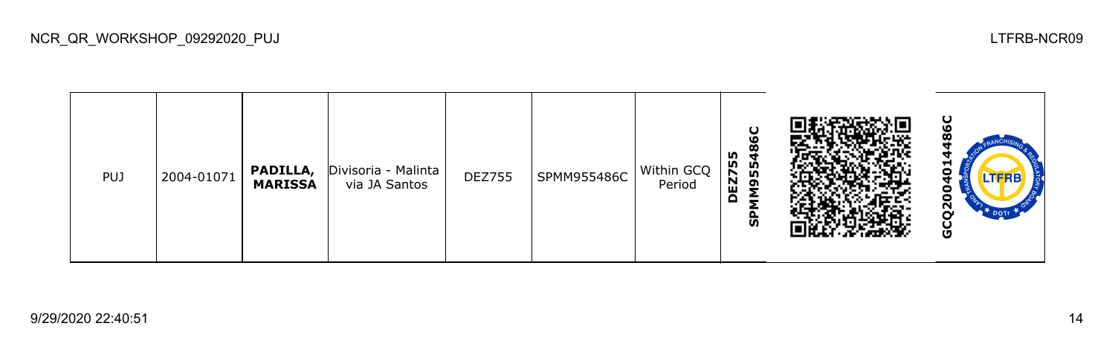| <b>PUJ</b> | 2004-01071 | PADILLA,<br><b>MARISSA</b> | Divisoria - Malinta<br>via JA Santos | <b>DEZ755</b> | SPMM955486C | Within GCQ<br>Period | U<br>LО<br>m<br>m<br>n,<br>EZ7<br><b>ID</b><br>ຶ<br>$\Omega$<br>င္ဟ |  | ပ<br>⊣<br>Ξ<br><b>LTFRB</b><br>о<br>-<br>N<br>O |
|------------|------------|----------------------------|--------------------------------------|---------------|-------------|----------------------|---------------------------------------------------------------------|--|-------------------------------------------------|
|------------|------------|----------------------------|--------------------------------------|---------------|-------------|----------------------|---------------------------------------------------------------------|--|-------------------------------------------------|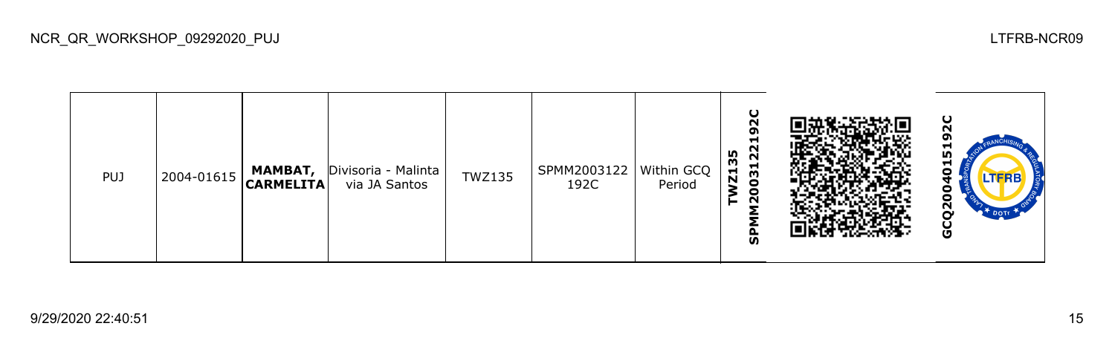| <b>PUJ</b> | $ 2004 - 01615 $ | МАМВАТ,<br>$ $ CARMELITA $ $ | Divisoria - Malinta<br>via JA Santos | <b>TWZ135</b> | SPMM2003122   Within GCQ<br>192C | Period | U<br>$\sim$<br>o<br>−<br>22<br>m<br>m<br>031<br>ы<br>N<br>$\overline{2}$<br>o<br>ັທ |  | ပ<br>−<br>m<br>⊣<br>o<br>o<br>Ņ<br><sup>+</sup> DOTE<br>o |
|------------|------------------|------------------------------|--------------------------------------|---------------|----------------------------------|--------|-------------------------------------------------------------------------------------|--|-----------------------------------------------------------|
|------------|------------------|------------------------------|--------------------------------------|---------------|----------------------------------|--------|-------------------------------------------------------------------------------------|--|-----------------------------------------------------------|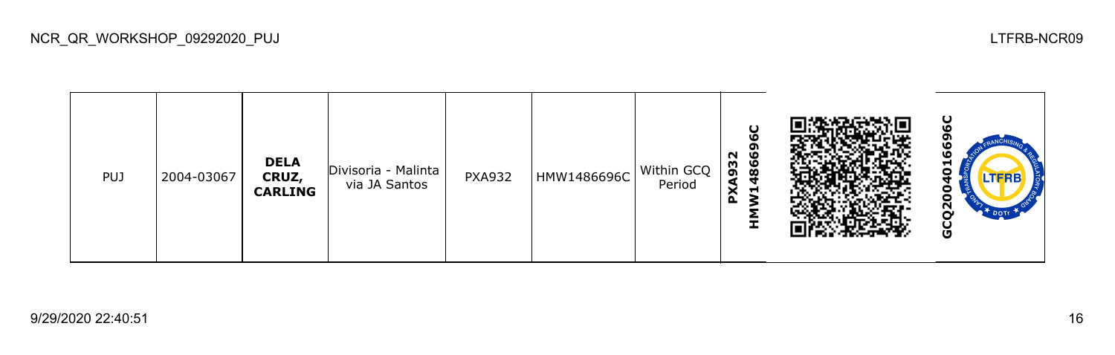

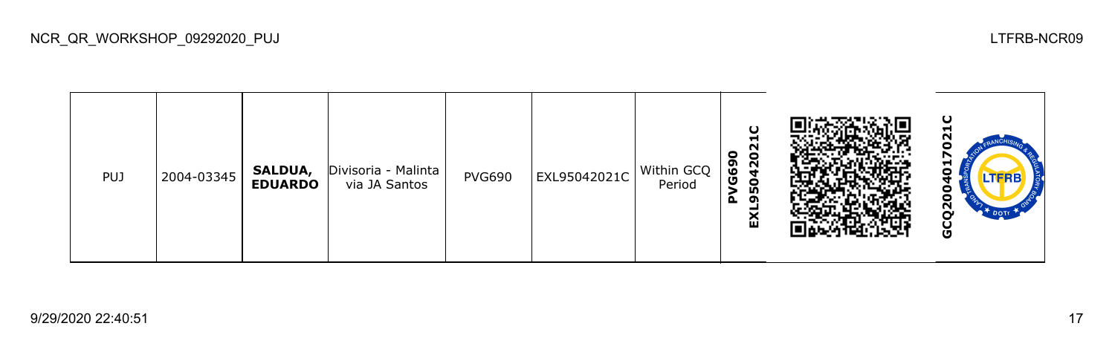| <b>PUJ</b> | 2004-03345 | SALDUA,<br><b>EDUARDO</b> | Divisoria - Malinta<br>via JA Santos | <b>PVG690</b> | EXL95042021C | Within GCQ<br>Period | O<br>−<br>N<br>0<br>$\bullet$<br>G69<br>$\frac{5}{4}$<br>0<br><u>n</u><br>$\Delta$<br>ີ<br>ଢ |  | ပ<br>H<br>N<br>c<br>r<br>ы<br>$\bullet$<br>o<br>o<br>$\overline{Q}$<br><b>DOTA</b><br>Ğ |
|------------|------------|---------------------------|--------------------------------------|---------------|--------------|----------------------|----------------------------------------------------------------------------------------------|--|-----------------------------------------------------------------------------------------|
|------------|------------|---------------------------|--------------------------------------|---------------|--------------|----------------------|----------------------------------------------------------------------------------------------|--|-----------------------------------------------------------------------------------------|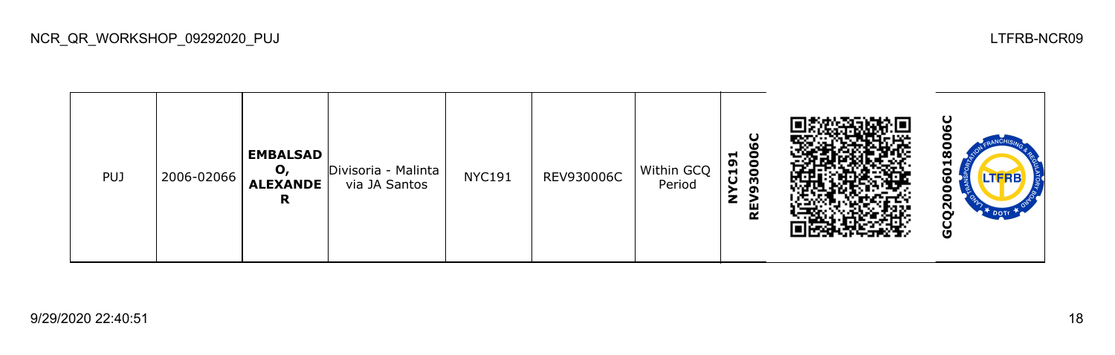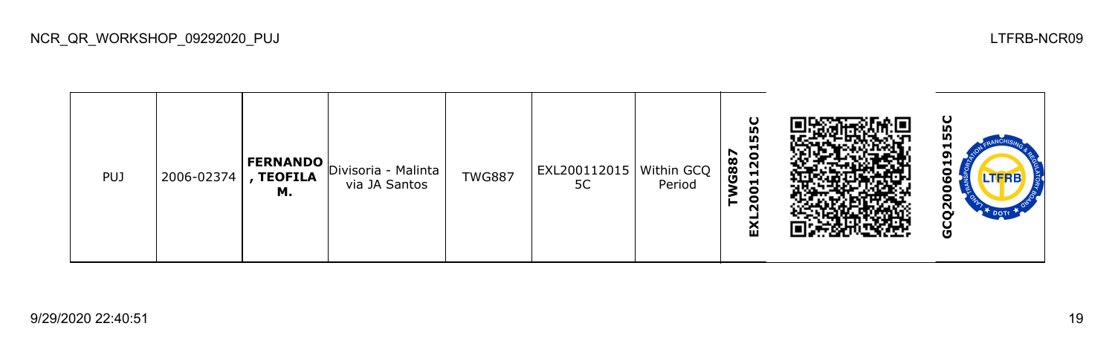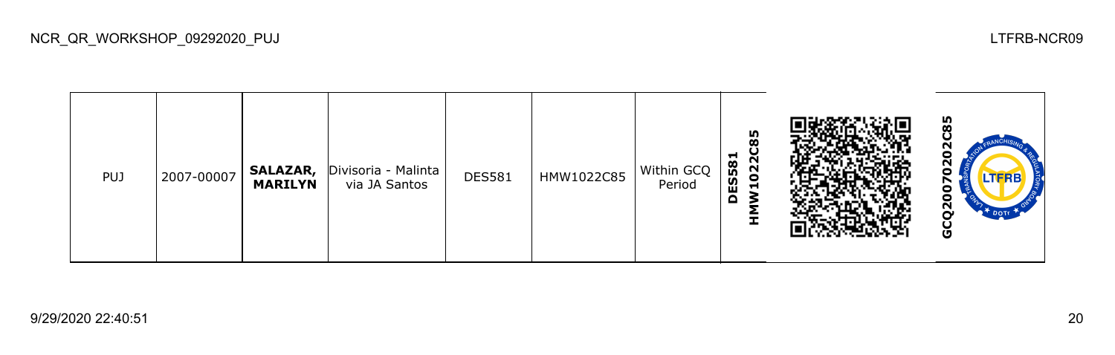| <b>PUJ</b> | 2007-00007 | <b>SALAZAR,</b><br><b>MARILYN</b> | Divisoria - Malinta<br>via JA Santos | <b>DES581</b> | HMW1022C85 | Within GCQ<br>Period | 85<br>022C<br>−<br><b>ES58</b><br>ᆋ<br>۵<br>ᆂ |  | 85<br>o<br>N<br>o<br>o<br>o<br>$\mathbf{S}$<br><b>DOTE</b><br>ပ<br>O |
|------------|------------|-----------------------------------|--------------------------------------|---------------|------------|----------------------|-----------------------------------------------|--|----------------------------------------------------------------------|
|------------|------------|-----------------------------------|--------------------------------------|---------------|------------|----------------------|-----------------------------------------------|--|----------------------------------------------------------------------|

NCR\_QR\_WORKSHOP\_09292020\_PUJ LTFRB-NCR09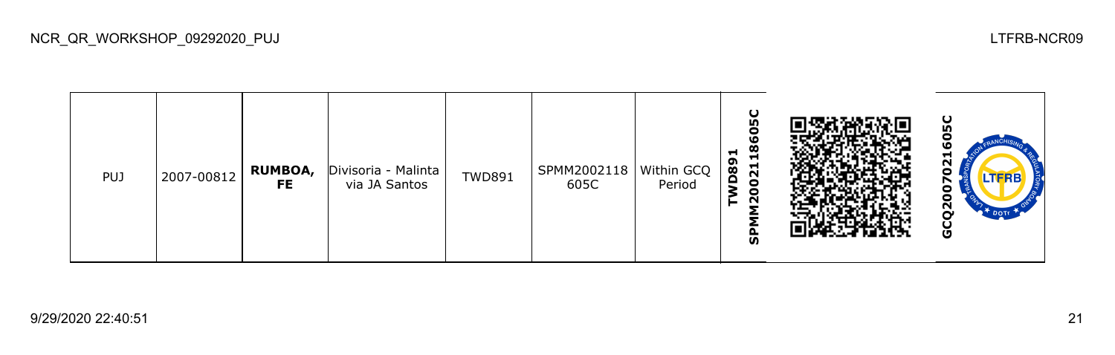| PUJ | 2007-00812 | <b>RUMBOA,</b><br>FE. | Divisoria - Malinta<br>via JA Santos | <b>TWD891</b> | SPMM2002118<br>605C | Within GCQ  <br>Period | ပ္စ<br>o<br>ဖ<br>Ø<br>$\blacksquare$<br><b>P89</b><br>$\overline{21}$<br>$\bullet$<br>۰<br>N<br>ჭ |  | ပ္စ<br>۱O<br>−<br>Ν<br>n<br><b>LTFRB</b><br>о<br>o<br>$\overline{Q}$<br>$\mathbb{R}^+$ DOTE<br>မ္ပ |
|-----|------------|-----------------------|--------------------------------------|---------------|---------------------|------------------------|---------------------------------------------------------------------------------------------------|--|----------------------------------------------------------------------------------------------------|
|-----|------------|-----------------------|--------------------------------------|---------------|---------------------|------------------------|---------------------------------------------------------------------------------------------------|--|----------------------------------------------------------------------------------------------------|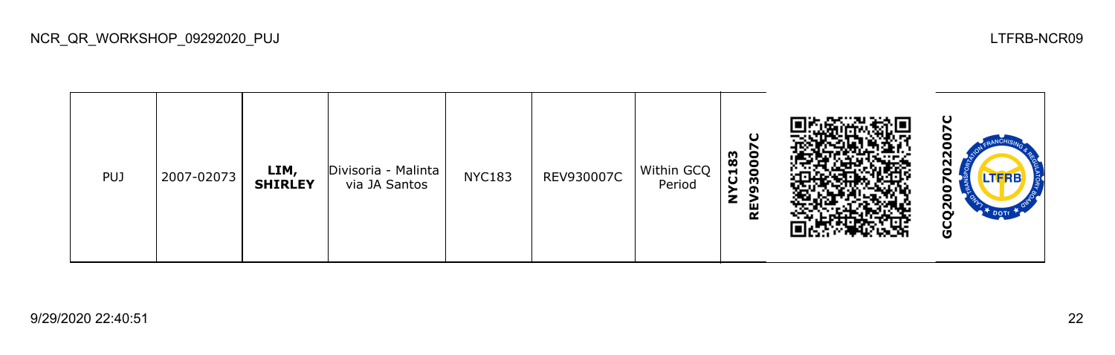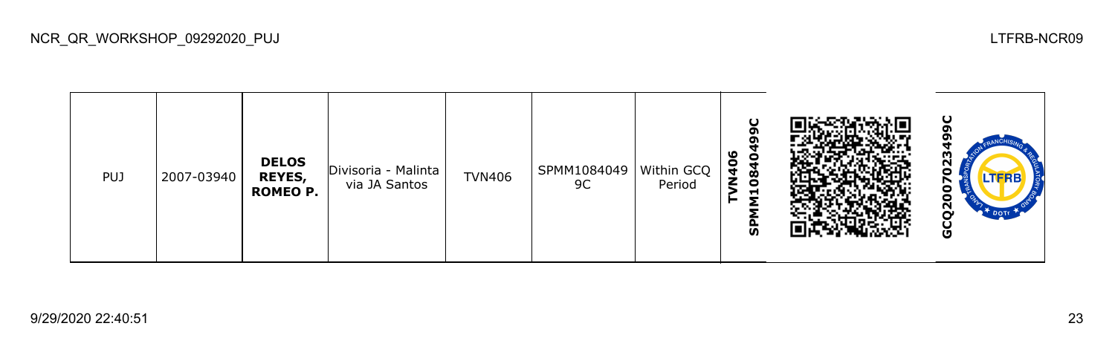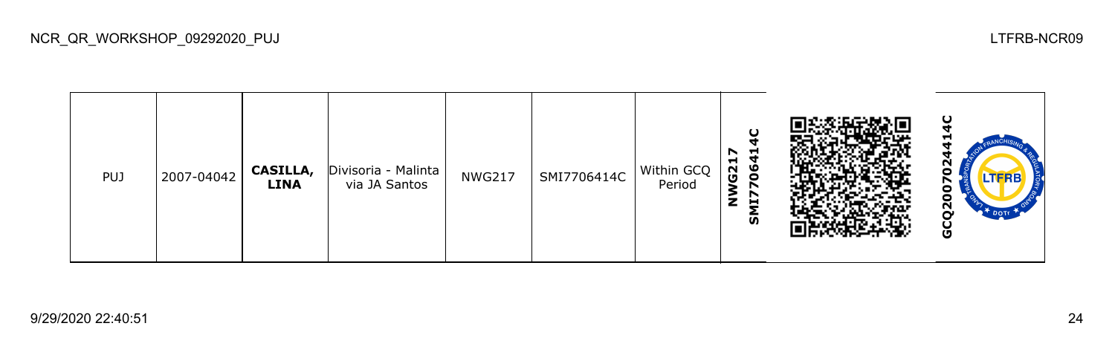| <b>PUJ</b> | 2007-04042 | CASILLA,<br><b>LINA</b> | Divisoria - Malinta<br>via JA Santos | <b>NWG217</b> | SMI7706414C | Within GCQ<br>Period | O<br>−<br>r<br>G21<br>ч<br>မီ<br>r<br>z<br>브<br>ົທ |  | ပ<br>ิ<br>J<br><b>LTFRB</b><br>о<br>Ξ<br>ี<br><b>DOT</b><br>ပ္ပ |
|------------|------------|-------------------------|--------------------------------------|---------------|-------------|----------------------|----------------------------------------------------|--|-----------------------------------------------------------------|
|------------|------------|-------------------------|--------------------------------------|---------------|-------------|----------------------|----------------------------------------------------|--|-----------------------------------------------------------------|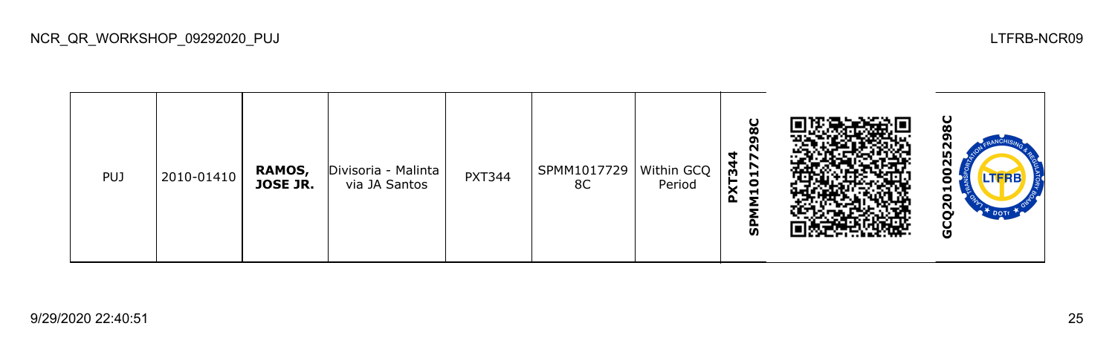| <b>PUJ</b> | 2010-01410 | RAMOS,<br><b>JOSE JR.</b> | Divisoria - Malinta<br>via JA Santos | <b>PXT344</b> | SPMM1017729<br>8C | Within GCQ<br>Period | U<br>œ<br>N<br>4<br>r<br>24<br>∼<br>Н<br>≿<br>$\bullet$<br>$\blacksquare$<br>o.<br><b>S</b> |  | ပ<br>רי<br>m<br>N<br>o<br><b>LTFRB</b><br>ο<br>⊣<br>Ξ<br>ี<br>$\mathbf{r}$ Dotr<br>o |
|------------|------------|---------------------------|--------------------------------------|---------------|-------------------|----------------------|---------------------------------------------------------------------------------------------|--|--------------------------------------------------------------------------------------|
|------------|------------|---------------------------|--------------------------------------|---------------|-------------------|----------------------|---------------------------------------------------------------------------------------------|--|--------------------------------------------------------------------------------------|

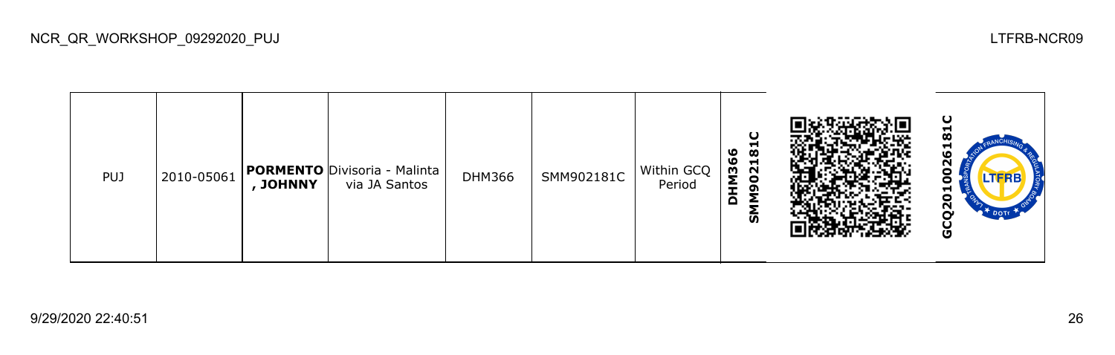| <b>PUJ</b> | 2010-05061 | JOHNNY | <b>PORMENTO</b> Divisoria - Malinta<br>via JA Santos | <b>DHM366</b> | SMM902181C | Within GCQ<br>Period | O<br><u>რ</u><br>ဖ<br>M36<br>021<br>Q<br>Δ<br><u>ທ</u> |  | ပ<br>-<br>−<br>ഥ<br>N<br><b>LTFRB</b><br>J<br>5<br>ဥ္<br>$\mathbf{R}^+$ DOTT<br>ט |
|------------|------------|--------|------------------------------------------------------|---------------|------------|----------------------|--------------------------------------------------------|--|-----------------------------------------------------------------------------------|
|------------|------------|--------|------------------------------------------------------|---------------|------------|----------------------|--------------------------------------------------------|--|-----------------------------------------------------------------------------------|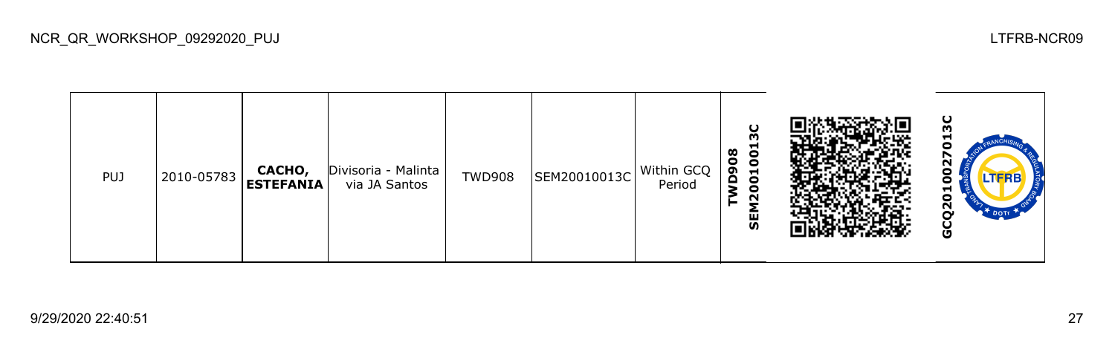| <b>PUJ</b> | 2010-05783 | CACHO,<br>ESTEFANIA | Divisoria - Malinta<br>via JA Santos | <b>TWD908</b> | SEM20010013C | Within GCQ<br>Period | O<br>ო<br><u>ප</u><br>$\infty$<br>$\bullet$<br>D <sub>90</sub><br>$\overline{5}$<br>$\bullet$<br>$\sim$<br>59 |  | ပ<br>m<br>Н<br>o<br>N<br>DOTE .<br>o |
|------------|------------|---------------------|--------------------------------------|---------------|--------------|----------------------|---------------------------------------------------------------------------------------------------------------|--|--------------------------------------|
|------------|------------|---------------------|--------------------------------------|---------------|--------------|----------------------|---------------------------------------------------------------------------------------------------------------|--|--------------------------------------|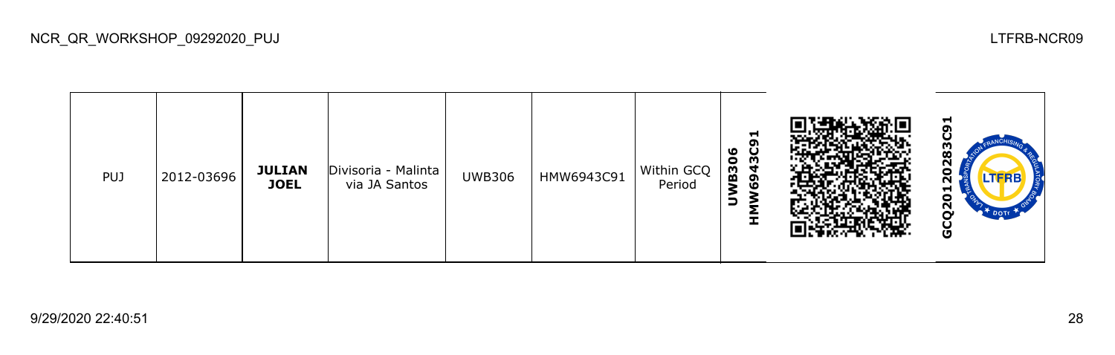| <b>PUJ</b> | 2012-03696 | <b>JULIAN</b><br><b>JOEL</b> | Divisoria - Malinta<br>via JA Santos | <b>UWB306</b> | HMW6943C91 | Within GCQ<br>Period | 51<br><u>ິດ</u><br>ဖ<br>$\ddot{\mathbf{C}}$<br>$\overline{3}$<br>₹<br>ຸດ<br>ဖ<br>∍<br>ᆂ |  | ⊣<br>ო<br>œ<br>o<br>N<br>⊣<br>o<br>$\mathbf{r}$<br><b>DOTE</b><br>ט |
|------------|------------|------------------------------|--------------------------------------|---------------|------------|----------------------|-----------------------------------------------------------------------------------------|--|---------------------------------------------------------------------|
|------------|------------|------------------------------|--------------------------------------|---------------|------------|----------------------|-----------------------------------------------------------------------------------------|--|---------------------------------------------------------------------|

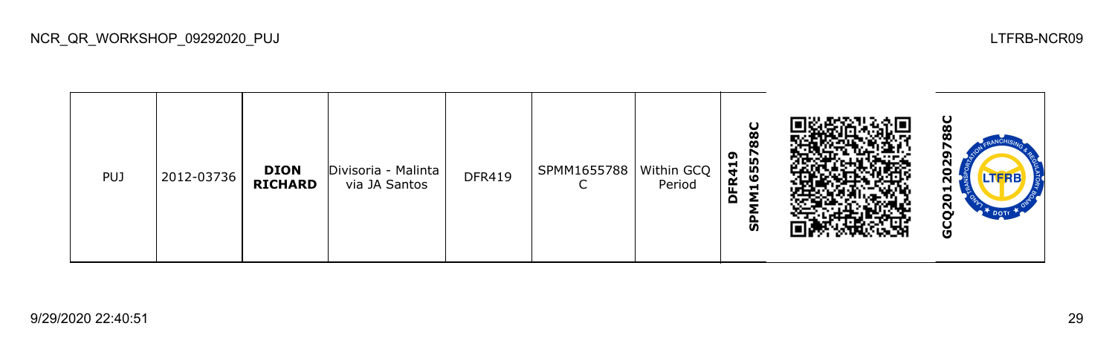| <b>PUJ</b> | 2012-03736 | <b>DION</b><br><b>RICHARD</b> | Divisoria - Malinta<br>via JA Santos | <b>DFR419</b> | SPMM1655788   Within GCQ | Period | $\mathbf C$<br>$\overline{8}$<br>116557<br>ຶ<br><b>FR41</b><br>Q<br>င္ဟ |  | ပ<br>Ō<br>m<br>N<br>o<br>N<br>H<br>o<br>$\overline{2}$<br><b>DOTE</b><br>o |
|------------|------------|-------------------------------|--------------------------------------|---------------|--------------------------|--------|-------------------------------------------------------------------------|--|----------------------------------------------------------------------------|
|------------|------------|-------------------------------|--------------------------------------|---------------|--------------------------|--------|-------------------------------------------------------------------------|--|----------------------------------------------------------------------------|

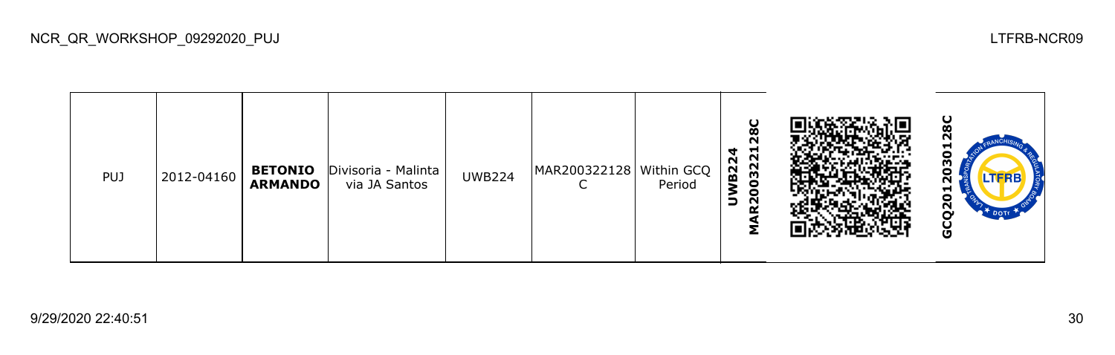| <b>PUJ</b> | 2012-04160 | <b>BETONIO</b><br><b>ARMANDO</b> | Divisoria - Malinta<br>via JA Santos | <b>UWB224</b> | MAR200322128   Within GCQ | Period | U<br>$\boldsymbol{\infty}$<br>$\sim$<br>03221<br>4<br>$\sim$<br>$\overline{5}$<br>$\circ$<br>∍<br>N<br>◢ |  | ပ<br>−<br>о<br>m<br>o<br><b>LTFRB</b><br>r<br>⊣<br>Ξ<br>N<br>O |
|------------|------------|----------------------------------|--------------------------------------|---------------|---------------------------|--------|----------------------------------------------------------------------------------------------------------|--|----------------------------------------------------------------|
|------------|------------|----------------------------------|--------------------------------------|---------------|---------------------------|--------|----------------------------------------------------------------------------------------------------------|--|----------------------------------------------------------------|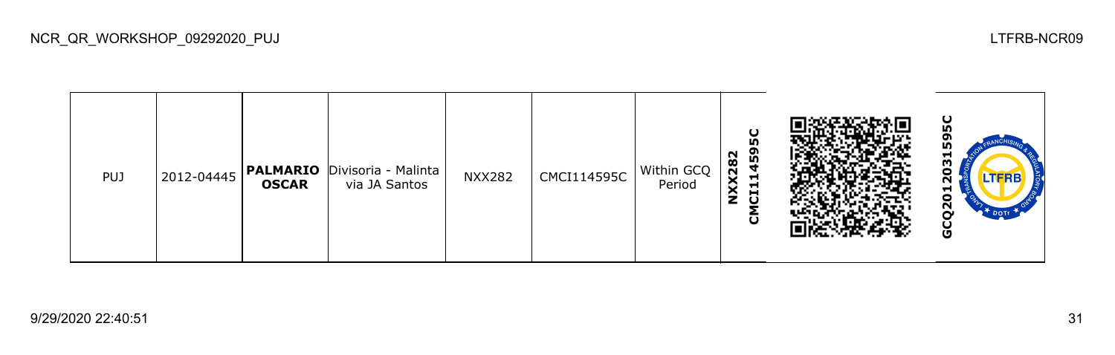| <b>PUJ</b> | 2012-04445 | <b>OSCAR</b> | <b>PALMARIO</b> Divisoria - Malinta<br>via JA Santos | <b>NXX282</b> | CMCI114595C | Within GCQ<br>Period | 5C<br><u> 59</u><br><b>XX282</b><br>−<br>−<br>$\blacksquare$<br>ŝ<br>$\mathbf C$<br>$\mathbf \omega$ |  | ပ<br>m<br>oı<br>n<br>ᆔ<br>ω<br>o<br>LTERB<br>ุก<br>ᆏ<br>0<br>Ν<br>DOTT<br>ပ<br>O |
|------------|------------|--------------|------------------------------------------------------|---------------|-------------|----------------------|------------------------------------------------------------------------------------------------------|--|----------------------------------------------------------------------------------|
|------------|------------|--------------|------------------------------------------------------|---------------|-------------|----------------------|------------------------------------------------------------------------------------------------------|--|----------------------------------------------------------------------------------|

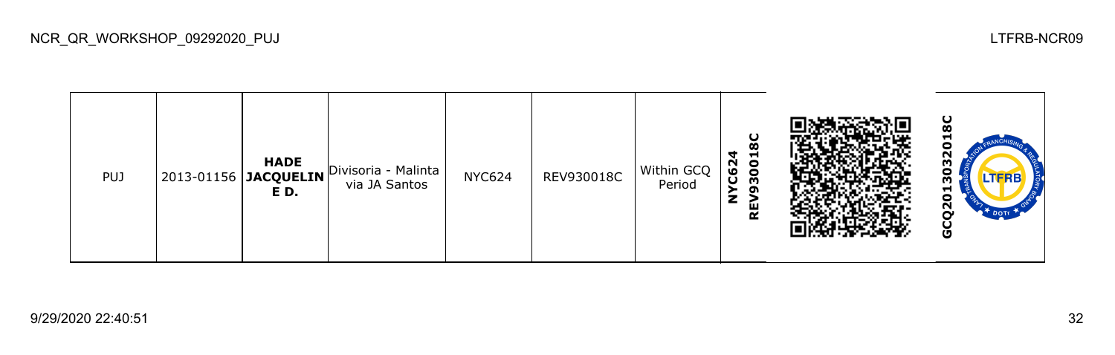

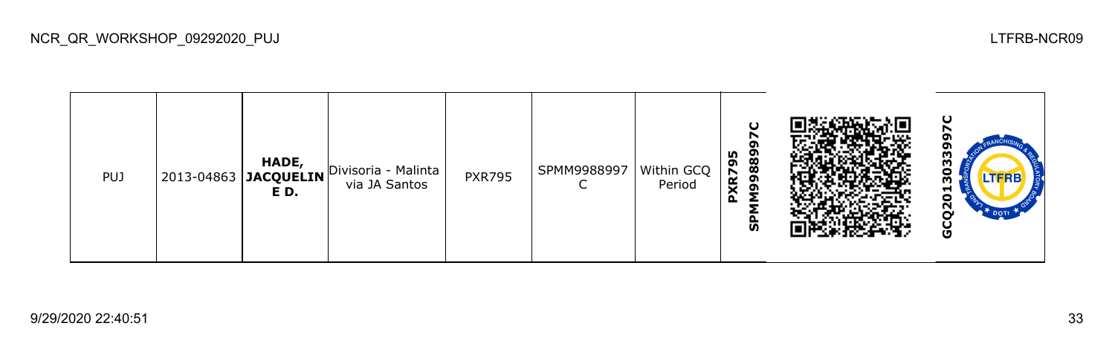

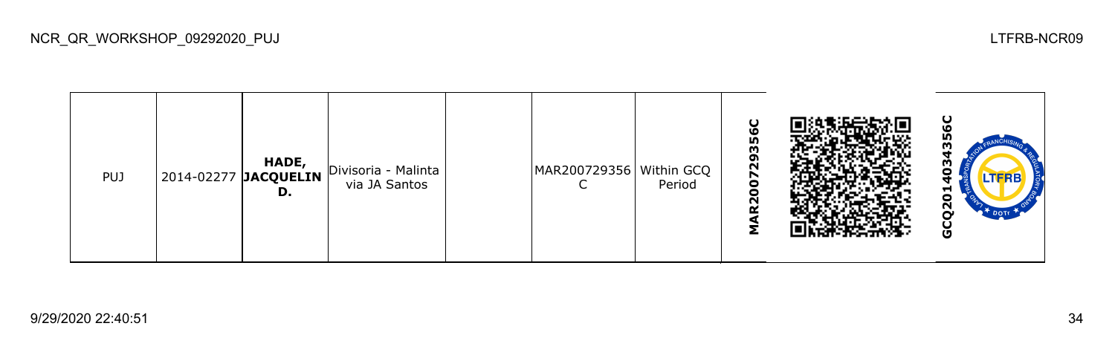| <b>PUJ</b> |  | HADE,<br>D. | $ 2014-02277 $ JACQUELIN Divisoria - Malinta  <br>via JA Santos |  | MAR200729356   Within GCQ | Period | $\mathbf C$<br>56<br>m<br><b>82</b><br>5<br>$\circ$<br>N |  | ပ<br>m<br>▬<br>J<br>Ņ<br><b>DOTE</b><br>o |
|------------|--|-------------|-----------------------------------------------------------------|--|---------------------------|--------|----------------------------------------------------------|--|-------------------------------------------|
|------------|--|-------------|-----------------------------------------------------------------|--|---------------------------|--------|----------------------------------------------------------|--|-------------------------------------------|

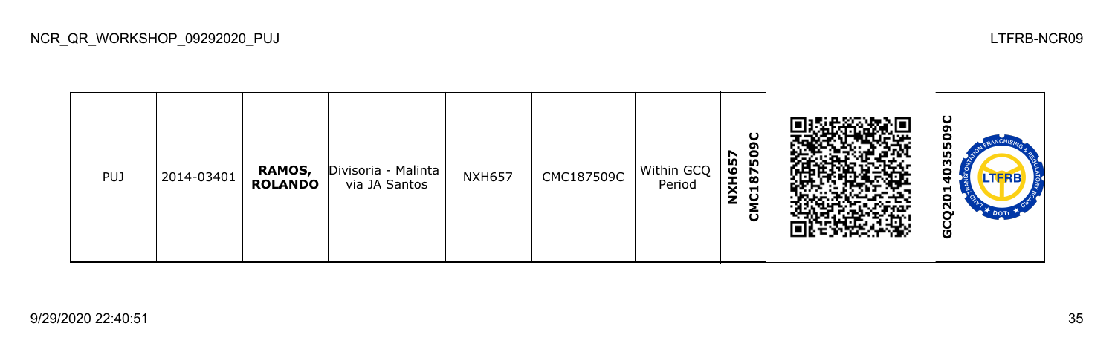| <b>PUJ</b> | 2014-03401 | RAMOS,<br><b>ROLANDO</b> | Divisoria - Malinta<br>via JA Santos | <b>NXH657</b> | CMC187509C | Within GCQ<br>Period | ပ<br>ຸດາ<br>8750<br><b>NXH657</b><br>$\blacksquare$<br>ပ<br>ပ |  | ပ<br>LN)<br>m<br>Ξ<br><b>LTFRB</b><br>≖<br>Ο<br>Ν<br>ပ္ပ |
|------------|------------|--------------------------|--------------------------------------|---------------|------------|----------------------|---------------------------------------------------------------|--|----------------------------------------------------------|
|------------|------------|--------------------------|--------------------------------------|---------------|------------|----------------------|---------------------------------------------------------------|--|----------------------------------------------------------|

NCR\_QR\_WORKSHOP\_09292020\_PUJ LTFRB-NCR09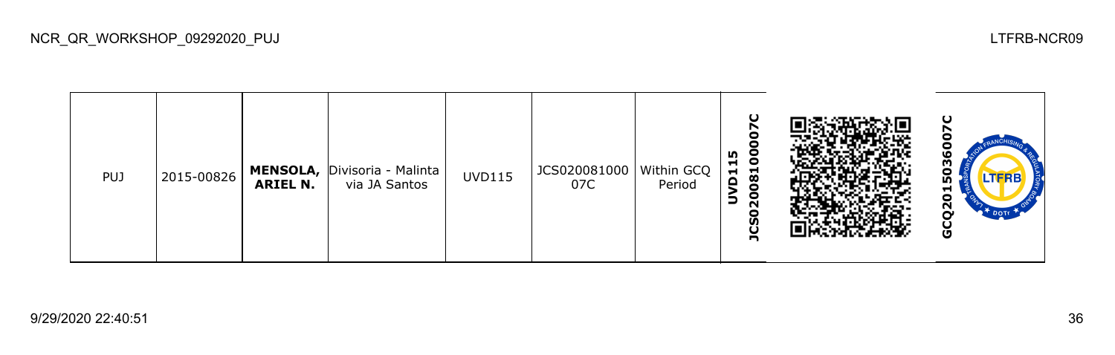| <b>PUJ</b> | 2015-00826 | <b>ARIEL N.</b> | <b>MENSOLA, Divisoria - Malinta</b><br>via JA Santos | <b>UVD115</b> | JCS020081000   Within GCQ<br>07C | Period | U<br>c<br>m<br>08100<br>$\mathbf{1}$<br>ē<br>20<br>∍<br>င္တ<br>U<br>n |  | ပ<br>о<br>ဖ<br>g<br>LTERB<br>m<br>5<br>N<br>DOTT<br>O |
|------------|------------|-----------------|------------------------------------------------------|---------------|----------------------------------|--------|-----------------------------------------------------------------------|--|-------------------------------------------------------|
|------------|------------|-----------------|------------------------------------------------------|---------------|----------------------------------|--------|-----------------------------------------------------------------------|--|-------------------------------------------------------|

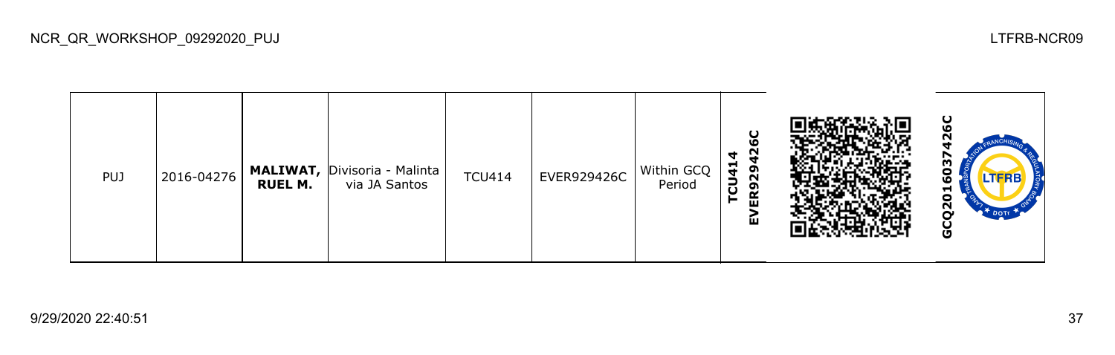| <b>PUJ</b> | 2016-04276 | <b>RUEL M.</b> | <b>MALIWAT, Divisoria - Malinta</b><br>via JA Santos | <b>TCU414</b> | EVER929426C | Within GCQ<br>Period | O<br>N<br>4<br>−<br>໑<br>$\overline{a}$<br>$\sim$<br>ຶ<br>$\alpha$<br>►<br>ш<br>ш |  | ပ<br>U<br><b>LTFRB</b><br>−<br>ō<br>ี<br>O |
|------------|------------|----------------|------------------------------------------------------|---------------|-------------|----------------------|-----------------------------------------------------------------------------------|--|--------------------------------------------|
|------------|------------|----------------|------------------------------------------------------|---------------|-------------|----------------------|-----------------------------------------------------------------------------------|--|--------------------------------------------|

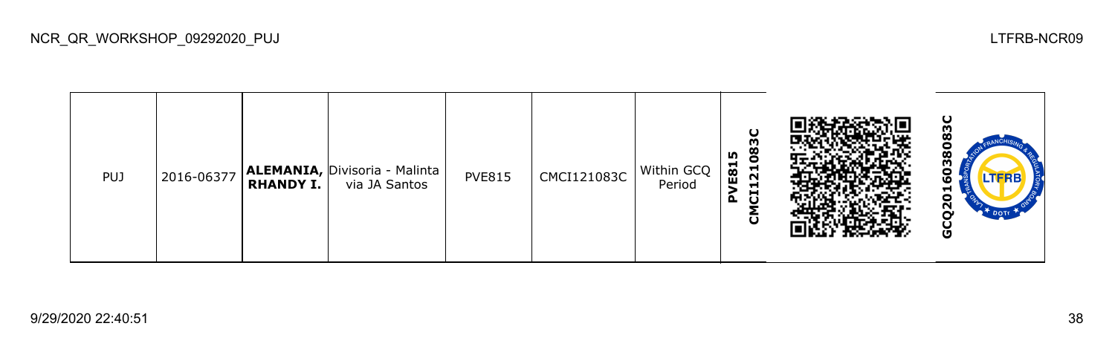| <b>PUJ</b> | 2016-06377 | <b>RHANDY I.</b> | <b>ALEMANIA, Divisoria - Malinta</b><br>via JA Santos | <b>PVE815</b> | CMCI121083C | Within GCQ<br>Period | $\mathbf C$<br>m<br>ဒိ<br>m<br>E81<br>$\blacksquare$<br>$\sim$<br>Н<br>ដ<br>$\Delta$<br>ပ |  | ပ<br>္က<br>о<br>LTERB<br>ဖ<br>⊣<br>o<br>Ν<br>DOTT<br>O |
|------------|------------|------------------|-------------------------------------------------------|---------------|-------------|----------------------|-------------------------------------------------------------------------------------------|--|--------------------------------------------------------|
|------------|------------|------------------|-------------------------------------------------------|---------------|-------------|----------------------|-------------------------------------------------------------------------------------------|--|--------------------------------------------------------|

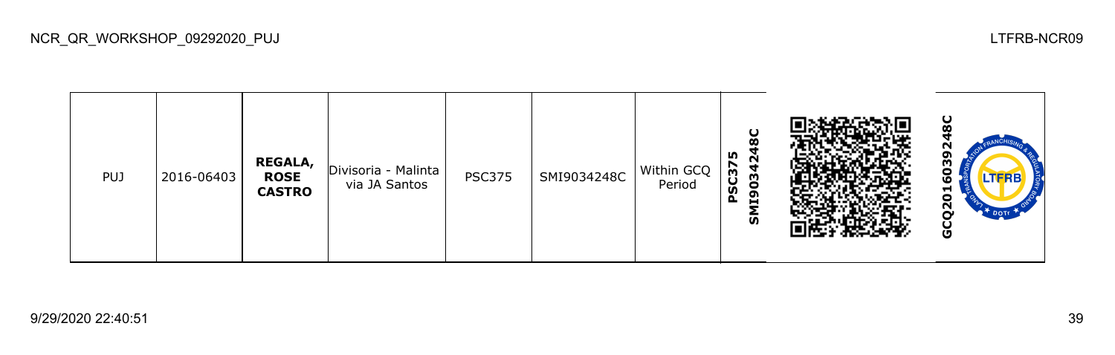

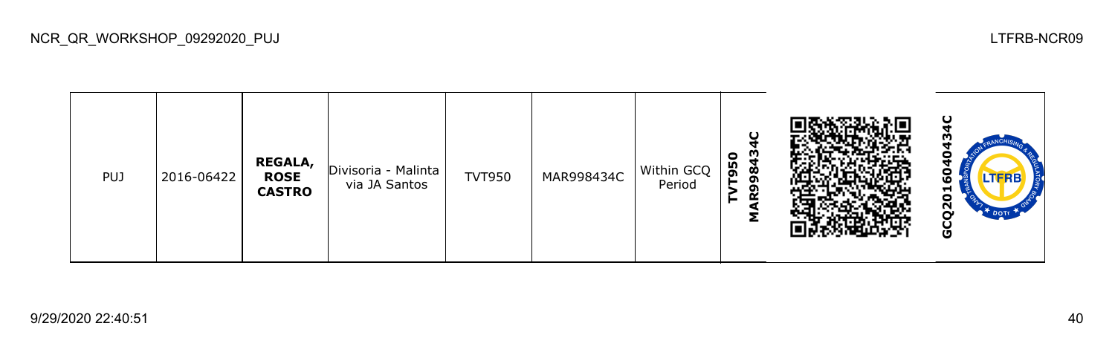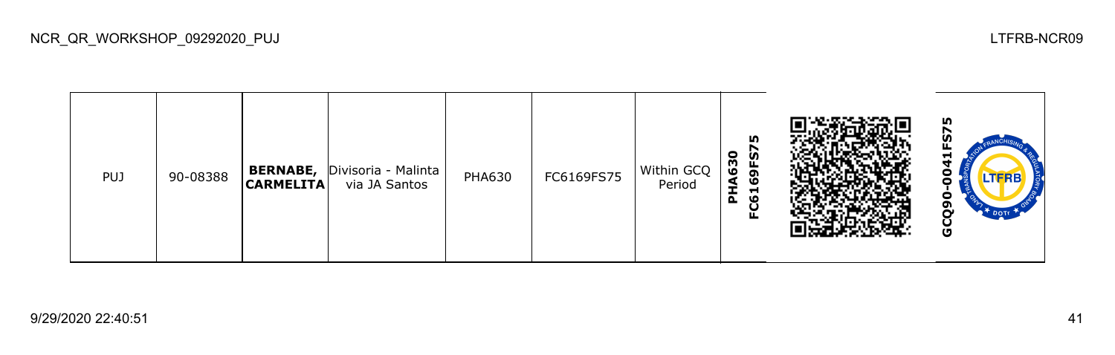| <b>PUJ</b> | 90-08388 | <b>BERNABE,</b><br><b>CARMELITA</b> | Divisoria - Malinta<br>via JA Santos | <b>PHA630</b> | FC6169FS75 | Within GCQ<br>Period | LO <sub>1</sub><br>$\bullet$<br><b>in</b><br>A63<br>ᄔ<br>G<br>- LO<br>董<br>Ħ<br>ဖ<br>ပ<br>ட |  | m<br>−<br>LTERB<br>o<br>o<br>ט |
|------------|----------|-------------------------------------|--------------------------------------|---------------|------------|----------------------|---------------------------------------------------------------------------------------------|--|--------------------------------|
|------------|----------|-------------------------------------|--------------------------------------|---------------|------------|----------------------|---------------------------------------------------------------------------------------------|--|--------------------------------|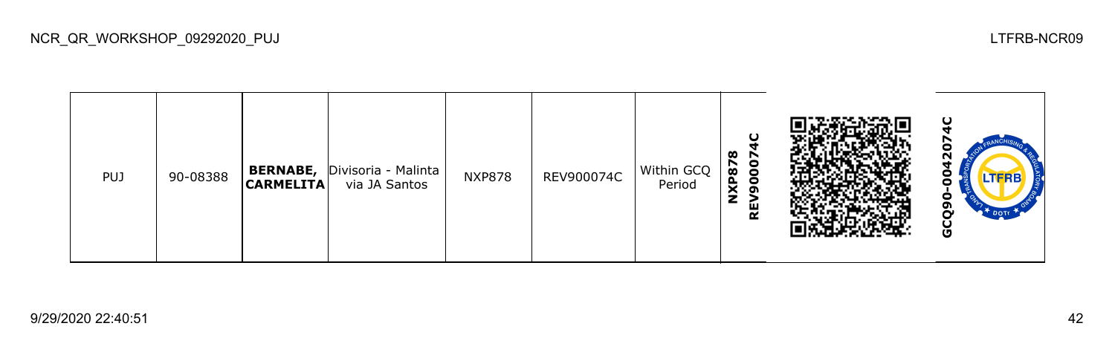| <b>PUJ</b> | 90-08388 | <b>BERNABE,</b><br><b>CARMELITA</b> | Divisoria - Malinta<br>via JA Santos | <b>NXP878</b> | REV900074C | Within GCQ<br>Period | O<br>œ<br>r<br>8<br>NXP87<br>$\bullet$<br>ຸດ<br>ш<br>≃ |  | ပ<br>с<br>ี่<br>о<br><b>LTFRB</b><br>o<br>о<br>o<br>မ္မ |
|------------|----------|-------------------------------------|--------------------------------------|---------------|------------|----------------------|--------------------------------------------------------|--|---------------------------------------------------------|
|------------|----------|-------------------------------------|--------------------------------------|---------------|------------|----------------------|--------------------------------------------------------|--|---------------------------------------------------------|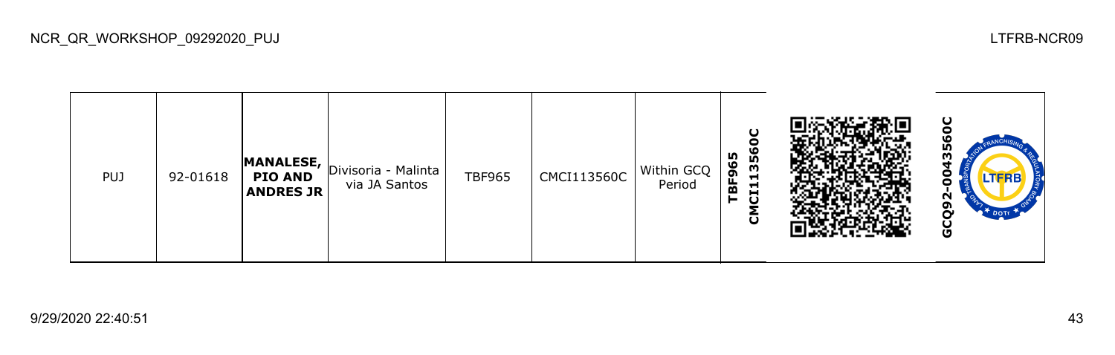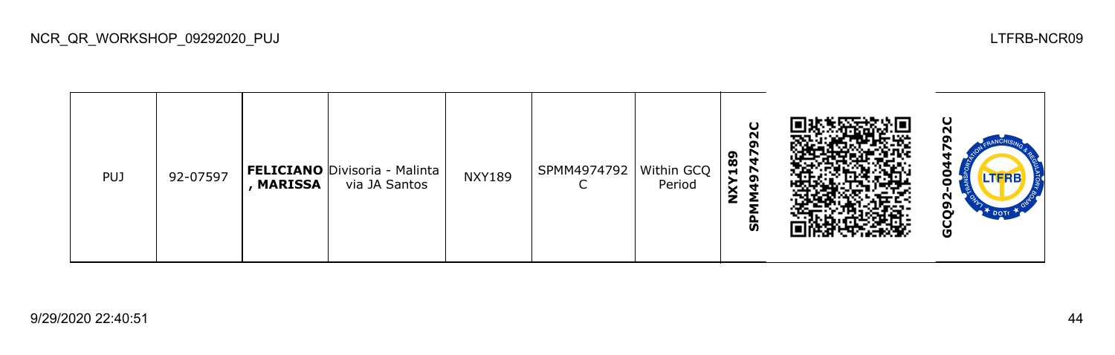| <b>PUJ</b> | 92-07597 | , MARISSA | <b>FELICIANO</b> Divisoria - Malinta<br>via JA Santos | <b>NXY189</b> | SPMM4974792 | Within GCQ<br>Period | $\mathbf C$<br>$\sim$<br>o<br>189<br>$\overline{\phantom{a}}$<br>ີ<br>◡<br>ŝ<br>င္ဟ |  | ပ<br><b>LTFRB</b><br>Ū |
|------------|----------|-----------|-------------------------------------------------------|---------------|-------------|----------------------|-------------------------------------------------------------------------------------|--|------------------------|
|------------|----------|-----------|-------------------------------------------------------|---------------|-------------|----------------------|-------------------------------------------------------------------------------------|--|------------------------|

NCR\_QR\_WORKSHOP\_09292020\_PUJ LTFRB-NCR09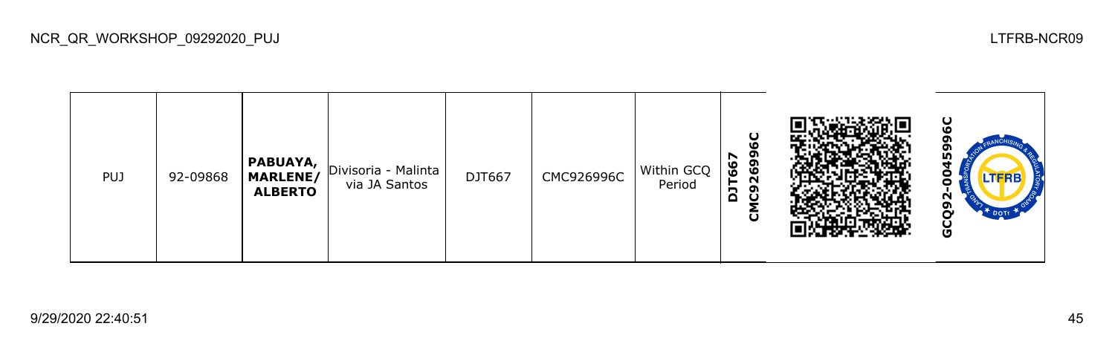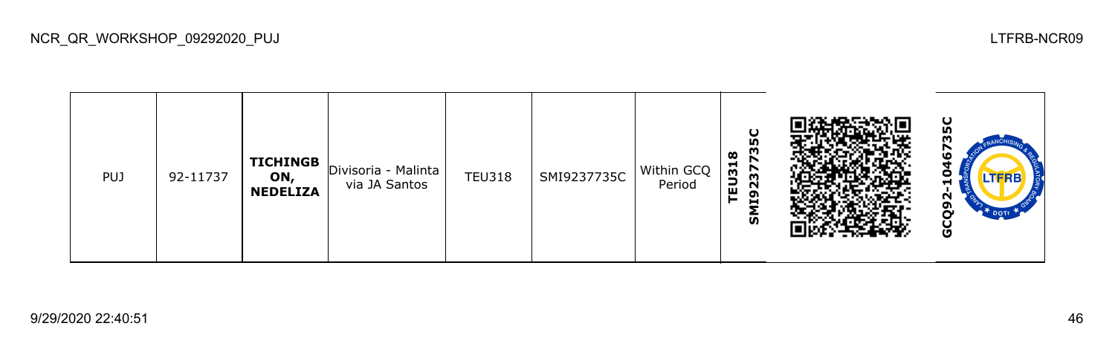

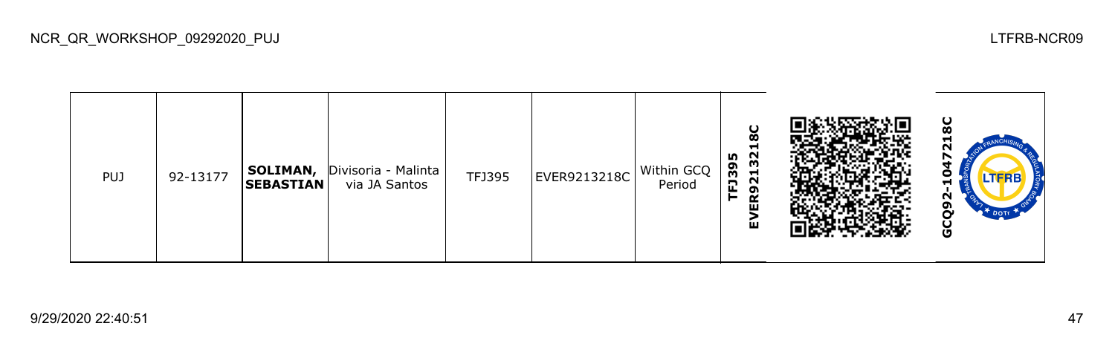| PUJ | 92-13177 | <b>SOLIMAN,</b><br><b>SEBASTIAN</b> | Divisoria - Malinta<br>via JA Santos | TFJ395 | EVER9213218C | Within GCQ<br>Period | Ø<br>Ð<br>32<br>m<br>FJ39<br>$\overline{\mathbf{z}}$<br>ຸດ<br>⊨<br>≃<br>面<br>ш |  | ပ<br>œ<br>c<br>−<br>N<br>ဥ<br>$*$ DOTT<br>မ္ပ |
|-----|----------|-------------------------------------|--------------------------------------|--------|--------------|----------------------|--------------------------------------------------------------------------------|--|-----------------------------------------------|
|-----|----------|-------------------------------------|--------------------------------------|--------|--------------|----------------------|--------------------------------------------------------------------------------|--|-----------------------------------------------|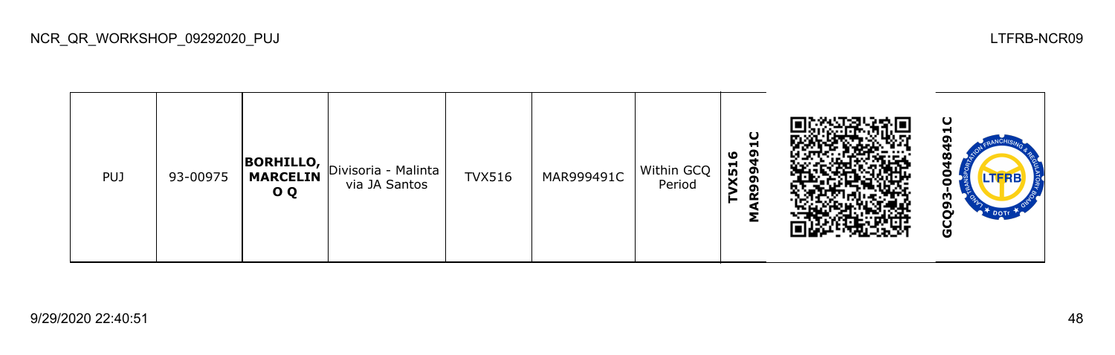

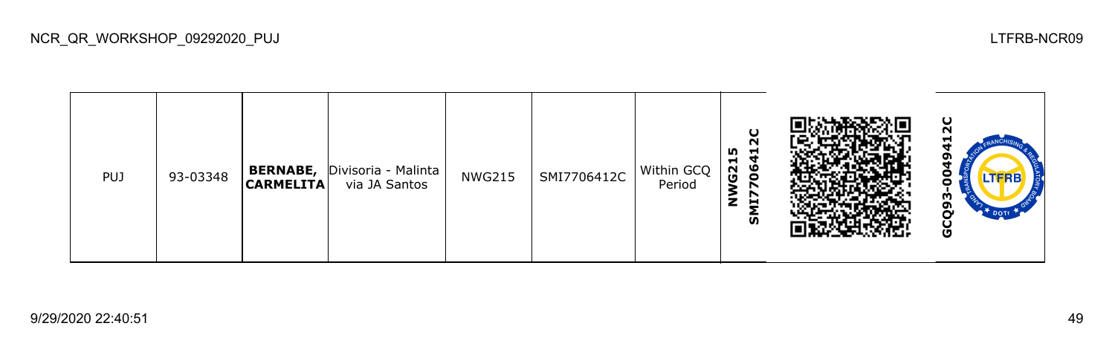| <b>PUJ</b> | 93-03348 | <b>BERNABE,</b><br><b>CARMELITA</b> | Divisoria - Malinta<br>via JA Santos | <b>NWG215</b> | SMI7706412C | Within GCQ<br>Period | $\sim$<br>m<br>−<br>G21<br>ч<br>ဖ<br>$\circ$<br>z<br>Н<br>ັທ |  | ပ<br>N<br>−<br>oı<br>o<br>o<br>m<br>ຫ<br>$\bullet$ <sup>+</sup> DOTE<br>$\mathbf{C}$<br>Ğ, |
|------------|----------|-------------------------------------|--------------------------------------|---------------|-------------|----------------------|--------------------------------------------------------------|--|--------------------------------------------------------------------------------------------|
|------------|----------|-------------------------------------|--------------------------------------|---------------|-------------|----------------------|--------------------------------------------------------------|--|--------------------------------------------------------------------------------------------|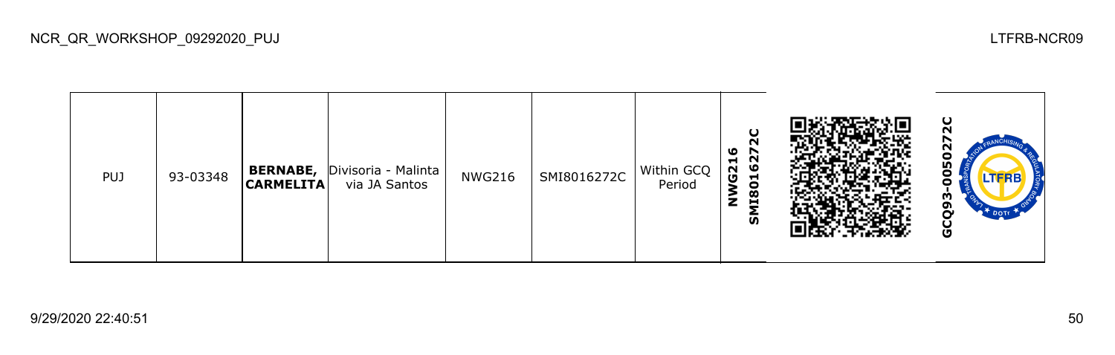| <b>PUJ</b> | 93-03348 | <b>BERNABE,</b><br><b>CARMELITA</b> | Divisoria - Malinta<br>via JA Santos | <b>NWG216</b> | SMI8016272C | Within GCQ<br>Period | ဖ<br>င္မွ<br>G21<br>−<br>0<br>$\overline{18}$<br>z<br>ŠΣ |  | ပ<br>n<br>N<br>SO<br>o<br>o<br>m<br>ີ<br>Ò<br>$\bullet$ <sup>+</sup> DOTE<br>9 |
|------------|----------|-------------------------------------|--------------------------------------|---------------|-------------|----------------------|----------------------------------------------------------|--|--------------------------------------------------------------------------------|
|------------|----------|-------------------------------------|--------------------------------------|---------------|-------------|----------------------|----------------------------------------------------------|--|--------------------------------------------------------------------------------|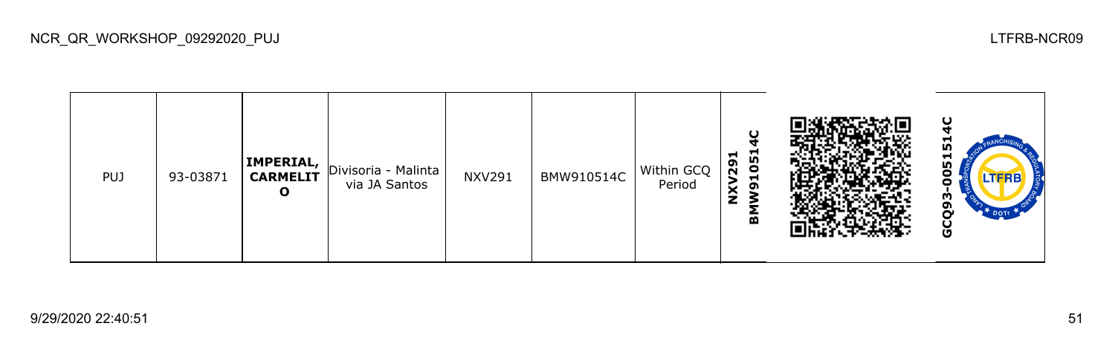

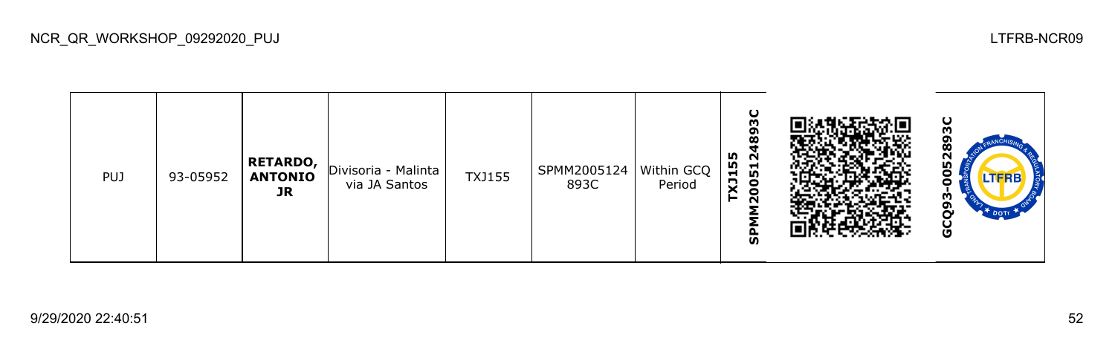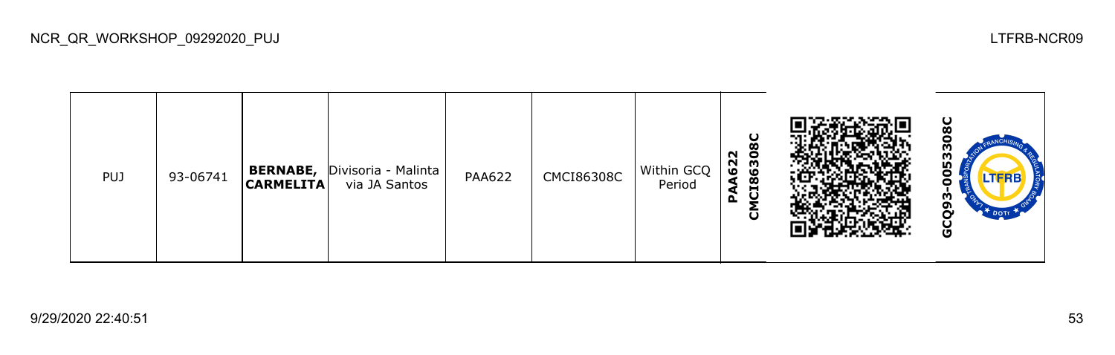| <b>PUJ</b> | 93-06741 | <b>BERNABE,</b><br>$ $ CARMELITA $ $ | Divisoria - Malinta<br>via JA Santos | <b>PAA622</b> | <b>CMCI86308C</b> | Within GCQ<br>Period | ပ<br>ø<br>A622<br>8630:<br>$\boldsymbol{\infty}$<br>Ĝ<br>⋖<br>௳<br>ō |  | ပ<br>က္က<br>-<br><b>LTFRB</b><br>U<br>m<br>o<br>Ū |
|------------|----------|--------------------------------------|--------------------------------------|---------------|-------------------|----------------------|----------------------------------------------------------------------|--|---------------------------------------------------|
|------------|----------|--------------------------------------|--------------------------------------|---------------|-------------------|----------------------|----------------------------------------------------------------------|--|---------------------------------------------------|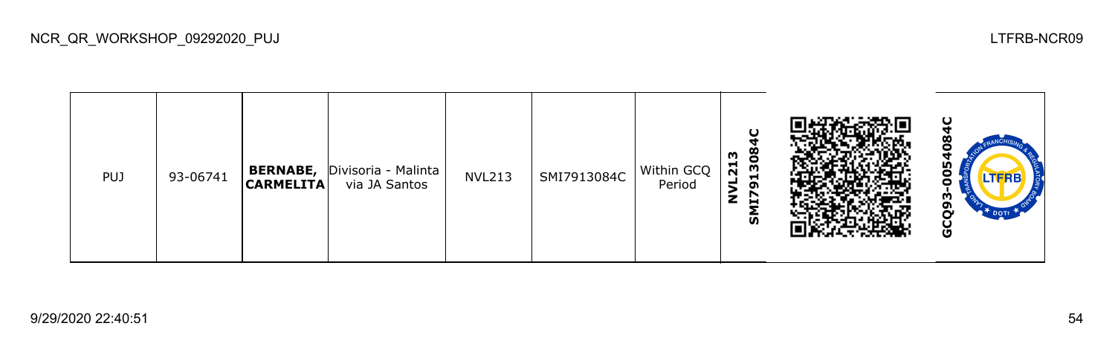| <b>PUJ</b> | 93-06741 | <b>BERNABE,</b><br><b>CARMELITA</b> | Divisoria - Malinta<br>via JA Santos | <b>NVL213</b> | SMI7913084C | Within GCQ<br>Period | 308<br>m<br>$\overline{2}$<br>−<br>ざ<br>ິຕ<br>z<br>Н<br>ັທ | ပ<br>о<br>σ<br>w<br>0<br>.TFRB<br>Ο<br>m<br>თ<br>Ò<br><b>DOTE</b><br>မ္ပ |  |
|------------|----------|-------------------------------------|--------------------------------------|---------------|-------------|----------------------|------------------------------------------------------------|--------------------------------------------------------------------------|--|
|------------|----------|-------------------------------------|--------------------------------------|---------------|-------------|----------------------|------------------------------------------------------------|--------------------------------------------------------------------------|--|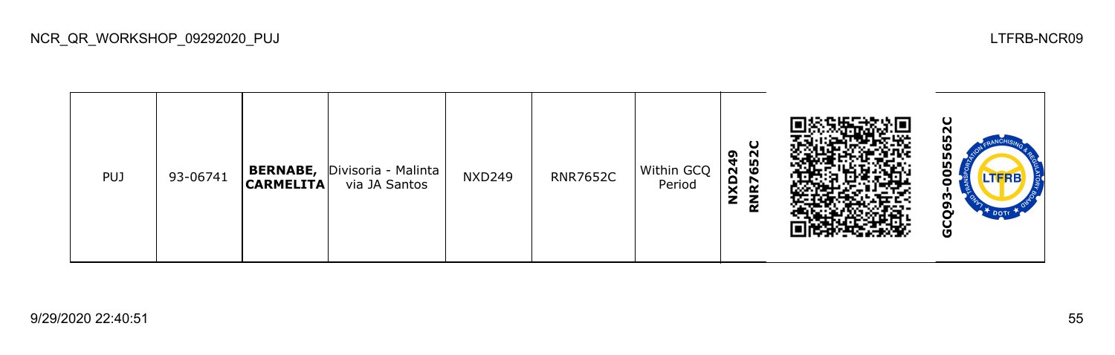| <b>PUJ</b> | 93-06741 | <b>BERNABE,</b><br><b>CARMELITA</b> | Divisoria - Malinta<br>via JA Santos | <b>NXD249</b> | <b>RNR7652C</b> | Within GCQ<br>Period | ပ<br>652<br><b>NXD249</b><br><b>R</b><br>$\propto$ |  | ပ<br>52<br>ပ္ပ<br>Ξ<br><b>LTFRB</b><br>J<br>m<br>თ<br>Ō |
|------------|----------|-------------------------------------|--------------------------------------|---------------|-----------------|----------------------|----------------------------------------------------|--|---------------------------------------------------------|
|------------|----------|-------------------------------------|--------------------------------------|---------------|-----------------|----------------------|----------------------------------------------------|--|---------------------------------------------------------|

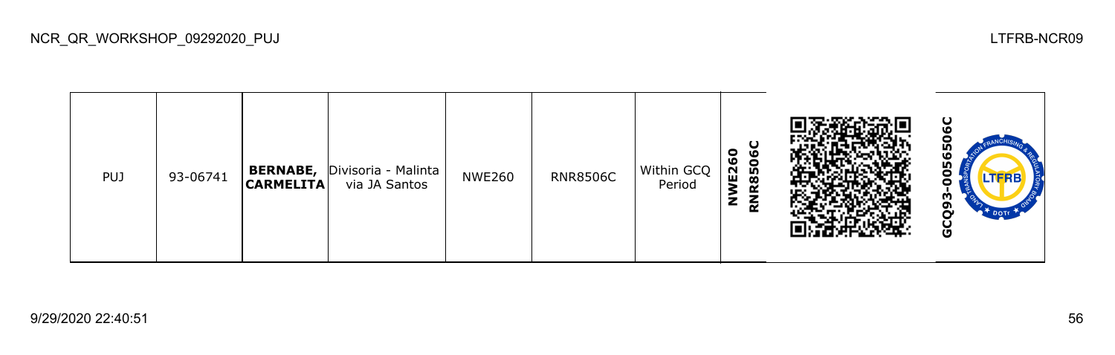| <b>PUJ</b> | 93-06741 | <b>BERNABE,</b><br> CARMELITA | Divisoria - Malinta<br>via JA Santos | <b>NWE260</b> | <b>RNR8506C</b> | Within GCQ<br>Period | O<br>$\bullet$<br>ဖ<br>E <sub>26</sub><br>850<br>$\bar{\mathbf{z}}$<br>$\tilde{\epsilon}$ |  | ပ<br>ပို့<br>Ξ<br><b>LTFRB</b><br>о<br>m<br>o<br>မ္ပ |
|------------|----------|-------------------------------|--------------------------------------|---------------|-----------------|----------------------|-------------------------------------------------------------------------------------------|--|------------------------------------------------------|
|------------|----------|-------------------------------|--------------------------------------|---------------|-----------------|----------------------|-------------------------------------------------------------------------------------------|--|------------------------------------------------------|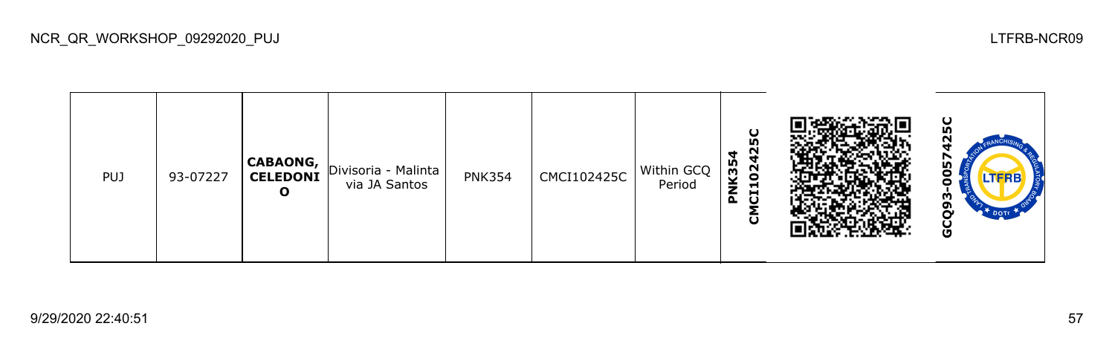

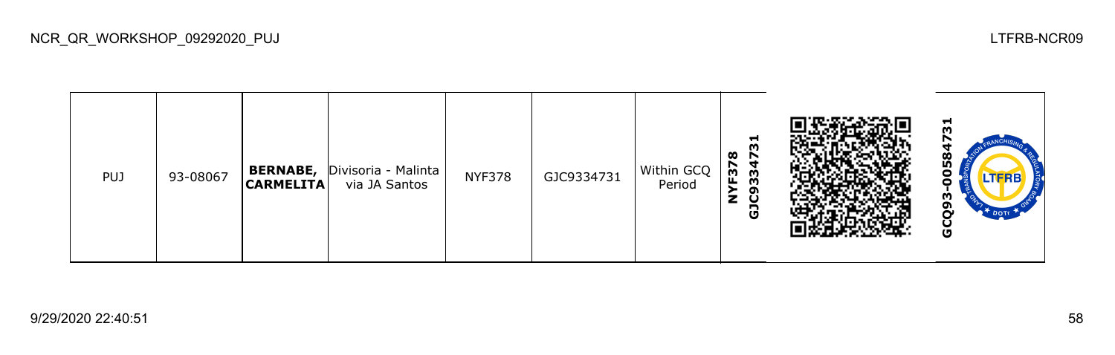| <b>PUJ</b> | 93-08067 | <b>BERNABE,</b><br><b>CARMELITA</b> | Divisoria - Malinta<br>via JA Santos | <b>NYF378</b> | GJC9334731 | Within GCQ<br>Period | 51<br>œ<br>r<br>F <sub>37</sub><br>33<br>ີ<br>٤<br>ပ<br>ම |  | ы<br>ლ<br>ი<br>ó<br><b>LTFRB</b><br>о<br>m<br>o<br>U |
|------------|----------|-------------------------------------|--------------------------------------|---------------|------------|----------------------|-----------------------------------------------------------|--|------------------------------------------------------|
|------------|----------|-------------------------------------|--------------------------------------|---------------|------------|----------------------|-----------------------------------------------------------|--|------------------------------------------------------|

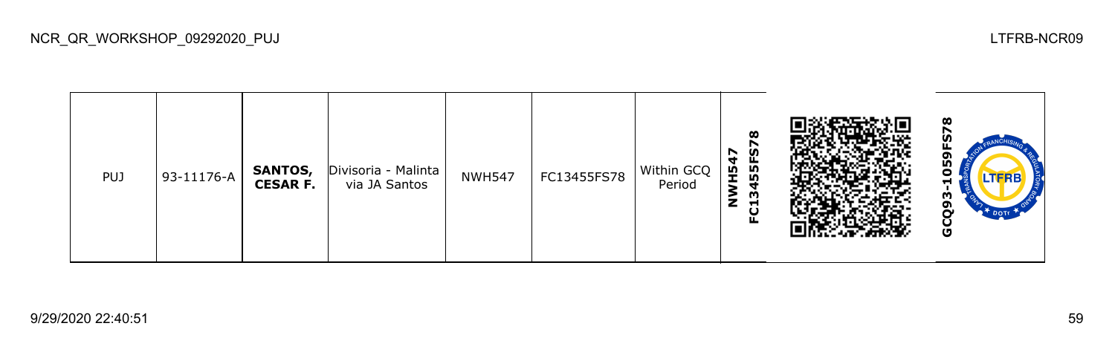| <b>PUJ</b> | 93-11176-A | SANTOS,<br><b>CESAR F.</b> | Divisoria - Malinta<br>via JA Santos | <b>NWH547</b> | FC13455FS78 | Within GCQ<br>Period | $\boldsymbol{\infty}$<br>ဖို့<br><b>H547</b><br>55<br>$\tilde{\mathsf{z}}$<br>ო<br>$\blacksquare$<br>ပူ |  | ထ<br>o<br>w<br>0<br>Н<br>m<br>ຓ<br>Ñ٧<br>$*$ DOTT<br>ပ<br>Ū |
|------------|------------|----------------------------|--------------------------------------|---------------|-------------|----------------------|---------------------------------------------------------------------------------------------------------|--|-------------------------------------------------------------|
|------------|------------|----------------------------|--------------------------------------|---------------|-------------|----------------------|---------------------------------------------------------------------------------------------------------|--|-------------------------------------------------------------|

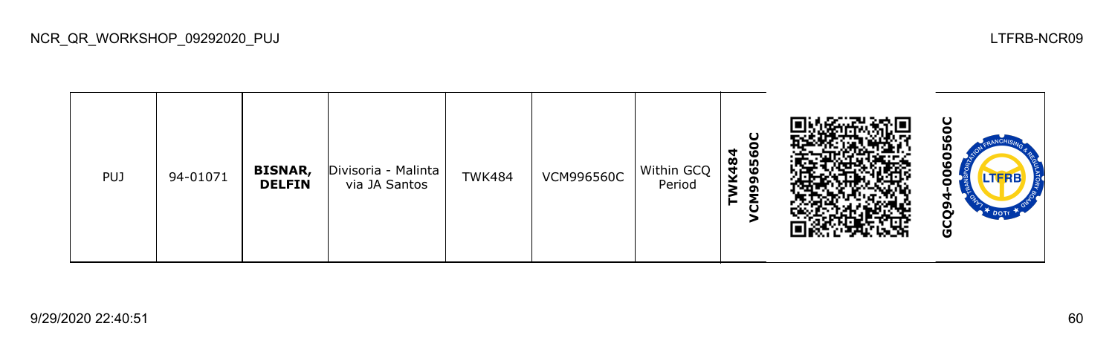| PUJ | 94-01071 | <b>BISNAR,</b><br><b>DELFIN</b> | Divisoria - Malinta<br>via JA Santos | <b>TWK484</b> | <b>VCM996560C</b> | Within GCQ<br>Period | ပ<br>c<br>4<br>ဖ<br>K48<br>65<br>ຫ<br>ຫ<br>ū |  | ပ<br>۱O<br><b>In</b><br>o<br>O<br>J<br>o<br><b>DOTE</b><br>Ū |
|-----|----------|---------------------------------|--------------------------------------|---------------|-------------------|----------------------|----------------------------------------------|--|--------------------------------------------------------------|
|-----|----------|---------------------------------|--------------------------------------|---------------|-------------------|----------------------|----------------------------------------------|--|--------------------------------------------------------------|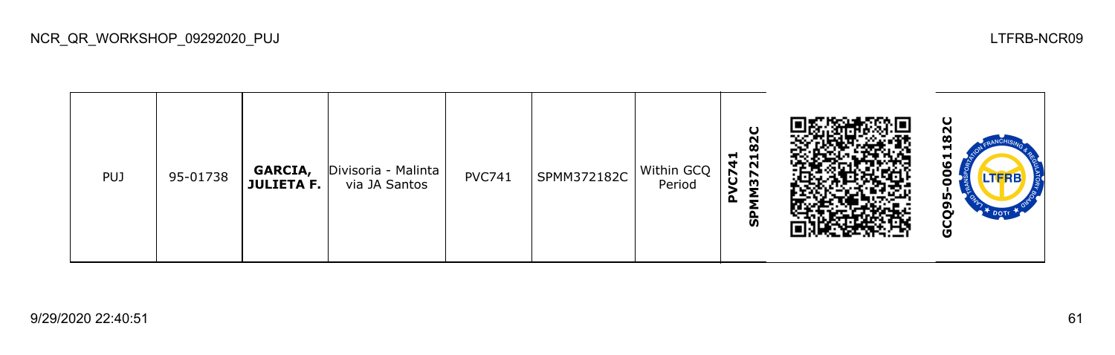| <b>PUJ</b> | 95-01738 | GARCIA,<br><b>JULIETA F.</b> | Divisoria - Malinta<br>via JA Santos | <b>PVC741</b> | SPMM372182C | Within GCQ<br>Period | O<br>N<br>œ<br>⊣<br>Н<br>4<br>$\sim$<br>5<br>↖<br>m<br>௳<br>င္ဟ |  | ပ<br>Н<br>⊣<br>٥<br>o<br>LIFRB<br>L۵<br>U |
|------------|----------|------------------------------|--------------------------------------|---------------|-------------|----------------------|-----------------------------------------------------------------|--|-------------------------------------------|
|------------|----------|------------------------------|--------------------------------------|---------------|-------------|----------------------|-----------------------------------------------------------------|--|-------------------------------------------|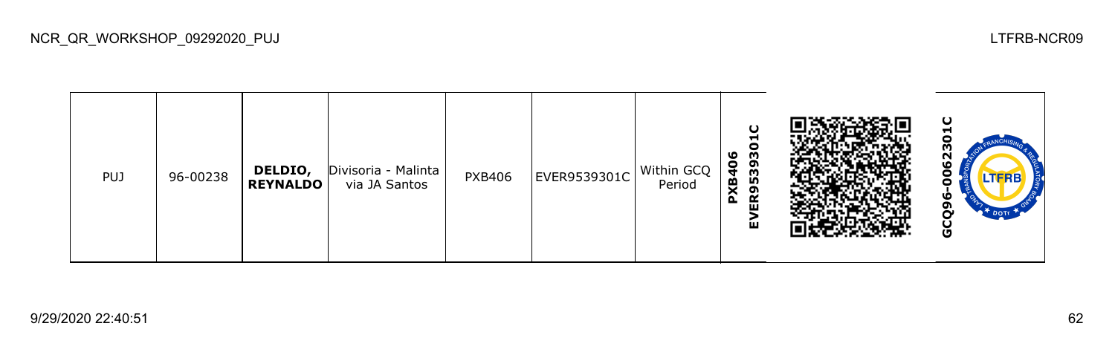| <b>PUJ</b> | 96-00238 | DELDIO,<br><b>REYNALDO</b> | Divisoria - Malinta<br>via JA Santos | <b>PXB406</b> | EVER9539301C | Within GCQ<br>Period | U<br>ᆏ<br>c<br>ER95393<br>ဖ<br>$\frac{6}{7}$<br>PXB<br>ш |  | ပ<br>▬<br>m<br>62<br>о<br><b>LTFRB</b><br>о<br>ഥ<br>o<br>Ū |
|------------|----------|----------------------------|--------------------------------------|---------------|--------------|----------------------|----------------------------------------------------------|--|------------------------------------------------------------|
|------------|----------|----------------------------|--------------------------------------|---------------|--------------|----------------------|----------------------------------------------------------|--|------------------------------------------------------------|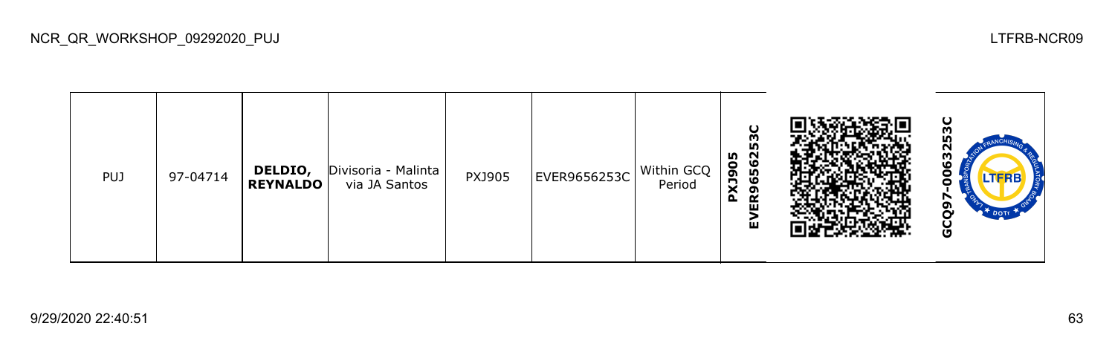| <b>PUJ</b> | 97-04714 | DELDIO,<br><b>REYNALDO</b> | Divisoria - Malinta<br>via JA Santos | PXJ905 | EVER9656253C | Within GCQ<br>Period | U<br>5Õ<br>80<br>6562<br>PX <sub>3</sub><br>ᡡ<br>$\propto$<br>ш<br>ш |  | ပ<br>m<br><b>In</b><br>N<br>င္မ<br>0<br>o<br>໑<br>Ο<br>DOTT _<br>မိ |
|------------|----------|----------------------------|--------------------------------------|--------|--------------|----------------------|----------------------------------------------------------------------|--|---------------------------------------------------------------------|
|------------|----------|----------------------------|--------------------------------------|--------|--------------|----------------------|----------------------------------------------------------------------|--|---------------------------------------------------------------------|

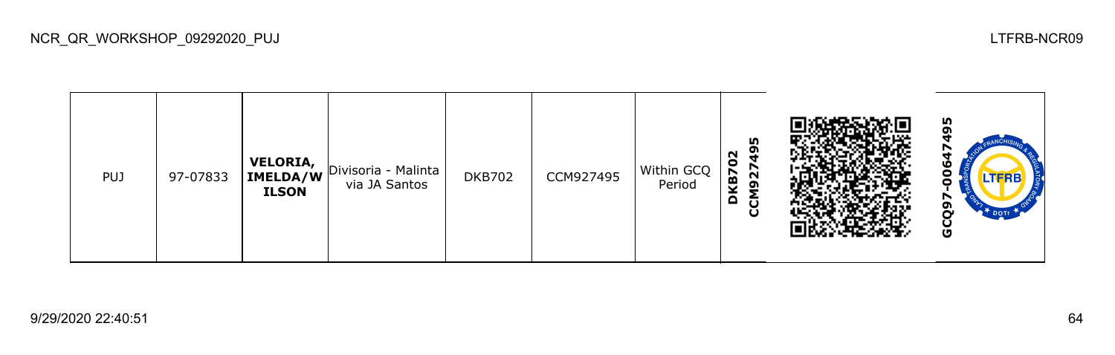